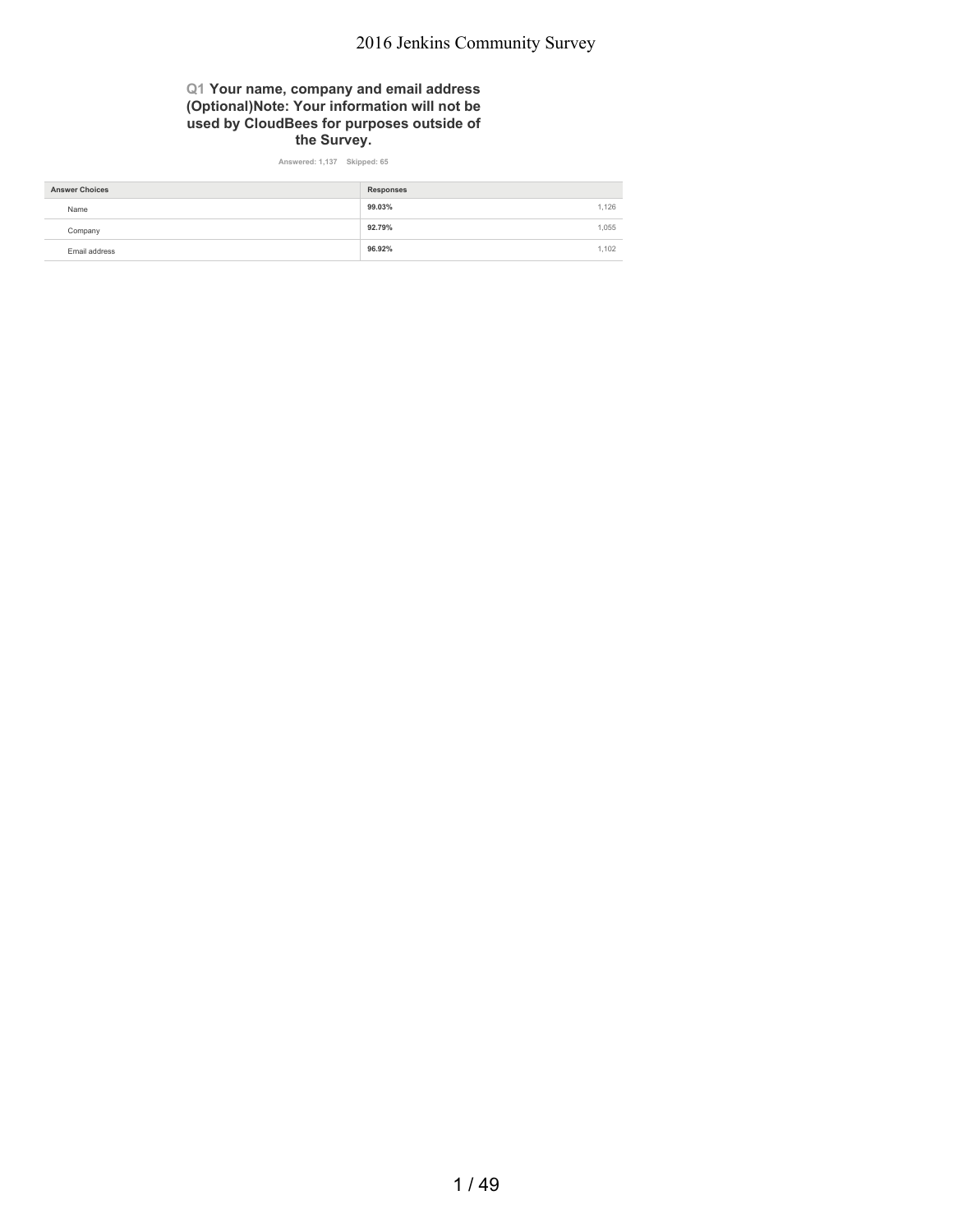### **Q1 Your name, company and email address (Optional)Note: Your information will not be used by CloudBees for purposes outside of the Survey.**

**Answered: 1,137 Skipped: 65**

| <b>Answer Choices</b> | <b>Responses</b> |       |
|-----------------------|------------------|-------|
| Name                  | 99.03%           | 1.126 |
| Company               | 92.79%           | 1.055 |
| Email address         | 96.92%           | 1.102 |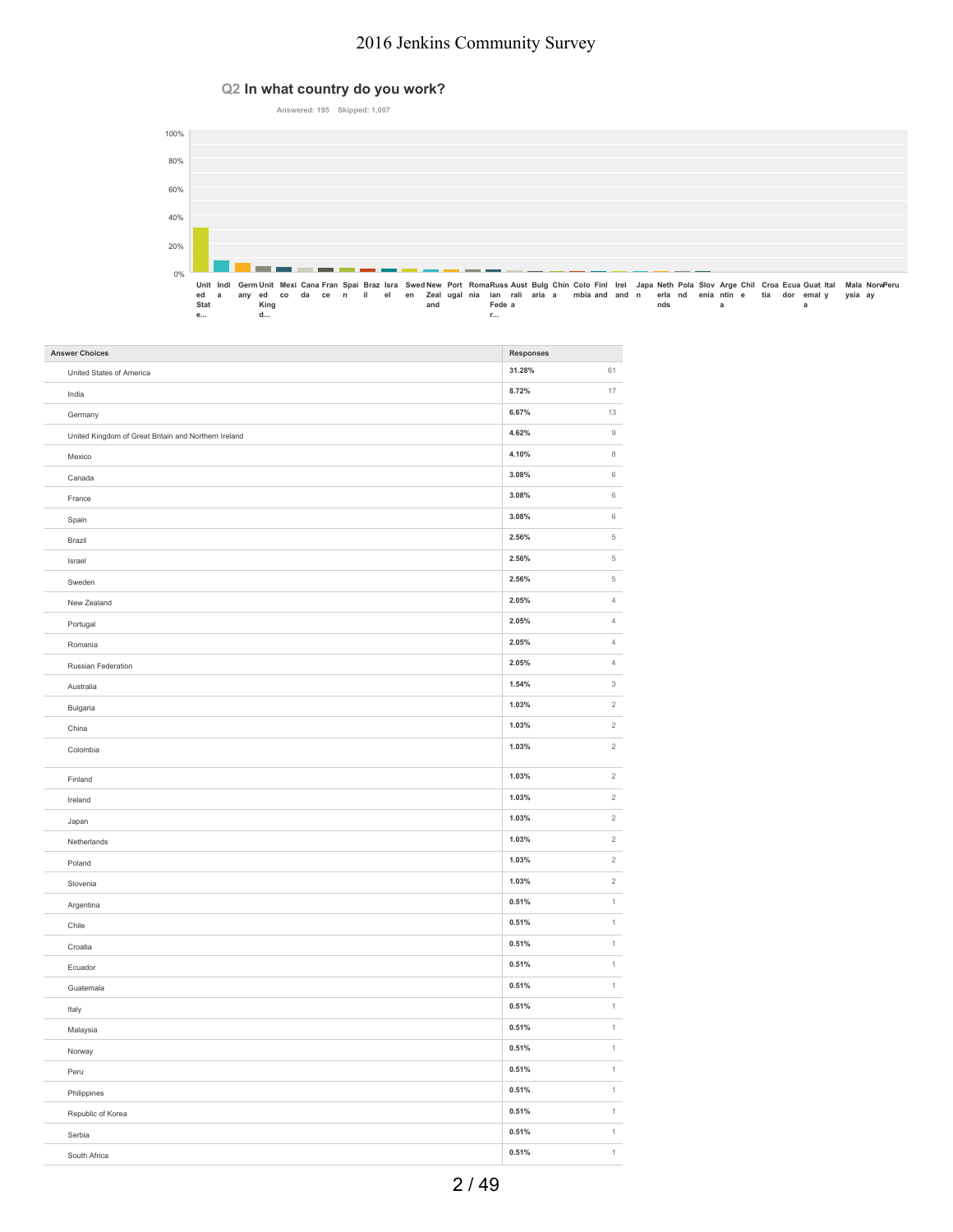### **Q2 In what country do you work?**



| <b>Answer Choices</b>                                | Responses |                           |
|------------------------------------------------------|-----------|---------------------------|
| United States of America                             | 31.28%    | 61                        |
| India                                                | 8.72%     | $17\,$                    |
| Germany                                              | 6.67%     | 13                        |
| United Kingdom of Great Britain and Northern Ireland | 4.62%     | $\mathsf g$               |
| Mexico                                               | 4.10%     | 8                         |
| Canada                                               | 3.08%     | $_{\rm 6}$                |
| France                                               | 3.08%     | $_{\rm 6}$                |
| Spain                                                | 3.08%     | $_{\rm 6}$                |
| Brazil                                               | 2.56%     | $\,$ 5 $\,$               |
| Israel                                               | 2.56%     | $\,$ 5 $\,$               |
| Sweden                                               | 2.56%     | $\,$ 5 $\,$               |
| New Zealand                                          | 2.05%     | $\sqrt{4}$                |
| Portugal                                             | 2.05%     | $\sqrt{4}$                |
| Romania                                              | 2.05%     | $\ensuremath{4}$          |
| Russian Federation                                   | 2.05%     | $\overline{4}$            |
| Australia                                            | 1.54%     | $\ensuremath{\mathsf{3}}$ |
| Bulgaria                                             | 1.03%     | $\sqrt{2}$                |
| China                                                | 1.03%     | $\sqrt{2}$                |
| Colombia                                             | 1.03%     | $\,2$                     |
| Finland                                              | 1.03%     | $\,2$                     |
| Ireland                                              | 1.03%     | $\,2$                     |
| Japan                                                | 1.03%     | $\sqrt{2}$                |
| Netherlands                                          | 1.03%     | $\sqrt{2}$                |
| Poland                                               | 1.03%     | $\sqrt{2}$                |
| Slovenia                                             | 1.03%     | $\sqrt{2}$                |
| Argentina                                            | 0.51%     | $\,$ 1 $\,$               |
| Chile                                                | 0.51%     | $\,$ 1 $\,$               |
| Croatia                                              | 0.51%     | $\mathbf{1}$              |
| Ecuador                                              | 0.51%     | $\,$ 1 $\,$               |
| Guatemala                                            | 0.51%     | $\,$ 1 $\,$               |
| Italy                                                | 0.51%     | $\,$ 1 $\,$               |
| Malaysia                                             | 0.51%     | $\,$ 1 $\,$               |
| Norway                                               | 0.51%     | $\,$ 1 $\,$               |
| Peru                                                 | 0.51%     | $\,$ 1 $\,$               |
| Philippines                                          | 0.51%     | $\,$ 1 $\,$               |
| Republic of Korea                                    | 0.51%     | $\,$ 1 $\,$               |
| Serbia                                               | 0.51%     | $\,$ 1                    |
| South Africa                                         | 0.51%     | $\overline{1}$            |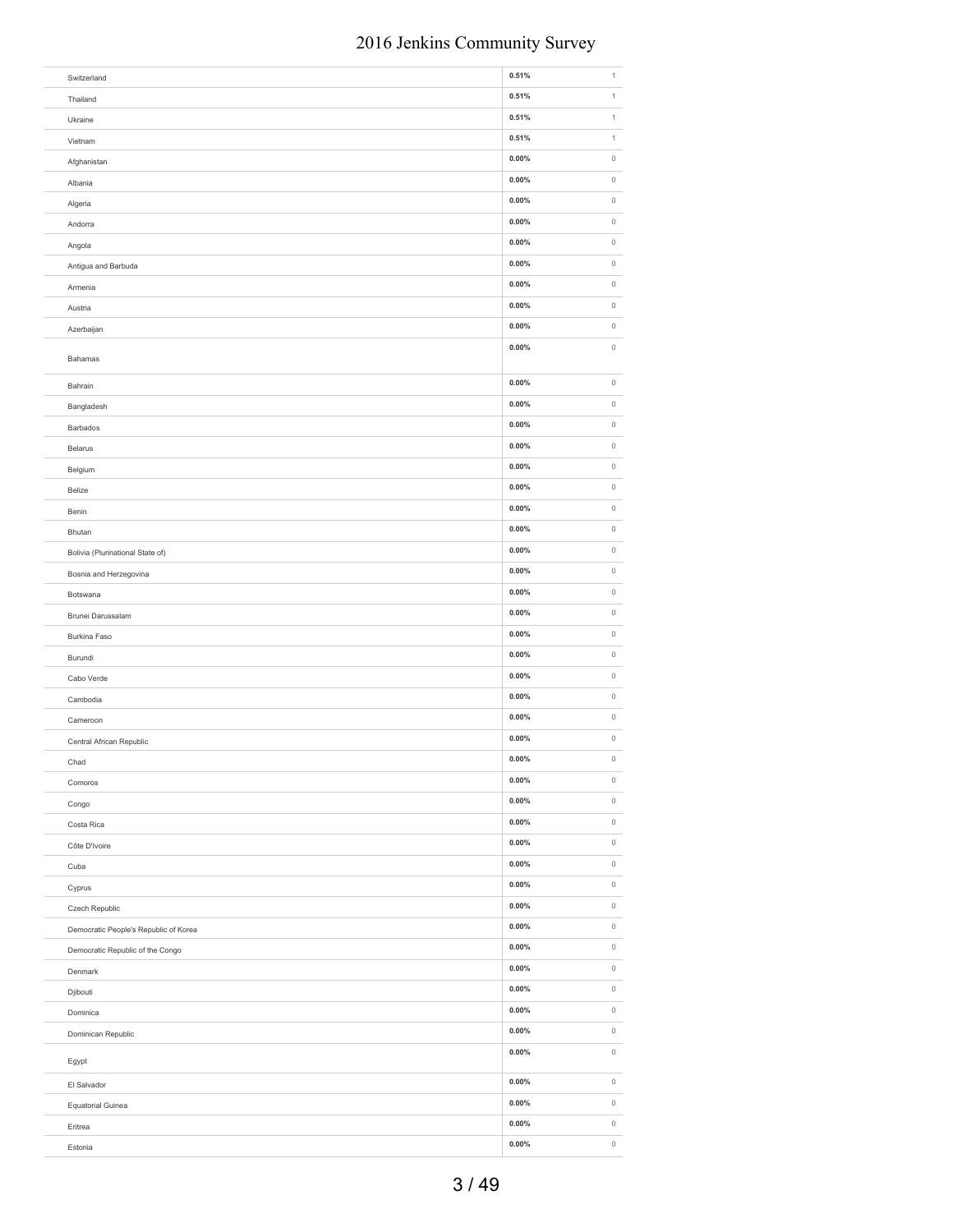| Switzerland                           | 0.51%    | $\mathbf 1$         |
|---------------------------------------|----------|---------------------|
| Thailand                              | 0.51%    | $\,$ 1 $\,$         |
| Ukraine                               | 0.51%    | $\,$ 1 $\,$         |
| Vietnam                               | 0.51%    | $\,$ 1 $\,$         |
| Afghanistan                           | 0.00%    | $\,0\,$             |
| Albania                               | 0.00%    | $\,0\,$             |
| Algeria                               | 0.00%    | $\,0\,$             |
| Andorra                               | $0.00\%$ | $\,0\,$             |
| Angola                                | 0.00%    | $\,0\,$             |
| Antigua and Barbuda                   | 0.00%    | $\mathbb O$         |
| Armenia                               | 0.00%    | $\,0\,$             |
| Austria                               | 0.00%    | $\,0\,$             |
| Azerbaijan                            | 0.00%    | $\,0\,$             |
|                                       | 0.00%    | $\,0\,$             |
| Bahamas                               |          |                     |
| Bahrain                               | 0.00%    | $\,0\,$             |
| Bangladesh                            | 0.00%    | $\mathbb O$         |
| Barbados                              | 0.00%    | $\mathbb O$         |
| Belarus                               | $0.00\%$ | $\,0\,$             |
| Belgium                               | 0.00%    | $\,0\,$             |
| Belize                                | 0.00%    | $\mathbb O$         |
| Benin                                 | 0.00%    | $\,0\,$             |
|                                       | 0.00%    | $\,0\,$             |
| Bhutan                                | 0.00%    | $\,0\,$             |
| Bolivia (Plurinational State of)      | 0.00%    | $\,0\,$             |
| Bosnia and Herzegovina                |          |                     |
| Botswana                              | 0.00%    | $\,0\,$             |
| Brunei Darussalam                     | $0.00\%$ | $\,0\,$             |
| Burkina Faso                          | $0.00\%$ | $\mathbb O$         |
| Burundi                               | $0.00\%$ | $\mathbb O$         |
| Cabo Verde                            | 0.00%    | $\mathbb O$         |
| Cambodia                              | $0.00\%$ | $\mathbb O$         |
| Cameroon                              | 0.00%    | $\mathbb O$         |
| Central African Republic              | $0.00\%$ | $\mathbb O$         |
| Chad                                  | $0.00\%$ | $\,0\,$             |
| Comoros                               | $0.00\%$ | $\mathbb O$         |
| Congo                                 | $0.00\%$ | $\mathsf{O}\xspace$ |
| Costa Rica                            | $0.00\%$ | $\circ$             |
| Côte D'Ivoire                         | $0.00\%$ | $\mathbb O$         |
| Cuba                                  | $0.00\%$ | $\mathsf{O}\xspace$ |
| Cyprus                                | $0.00\%$ | $\mathbb O$         |
| Czech Republic                        | $0.00\%$ | $\mathbb O$         |
| Democratic People's Republic of Korea | $0.00\%$ | $\mathbb O$         |
| Democratic Republic of the Congo      | $0.00\%$ | $\mathsf{O}\xspace$ |
| Denmark                               | $0.00\%$ | $\mathbb O$         |
| Djibouti                              | $0.00\%$ | $\mathbb O$         |
| Dominica                              | $0.00\%$ | $\mathsf{O}\xspace$ |
| Dominican Republic                    | $0.00\%$ | $\mathbb O$         |
|                                       | $0.00\%$ | $\mathsf{O}\xspace$ |
| Egypt                                 |          |                     |
| El Salvador                           | $0.00\%$ | $\mathbb O$         |
| Equatorial Guinea                     | $0.00\%$ | $\mathbb O$         |
| Eritrea                               | $0.00\%$ | $\mathbb O$         |
| Estonia                               | $0.00\%$ | $\mathbb O$         |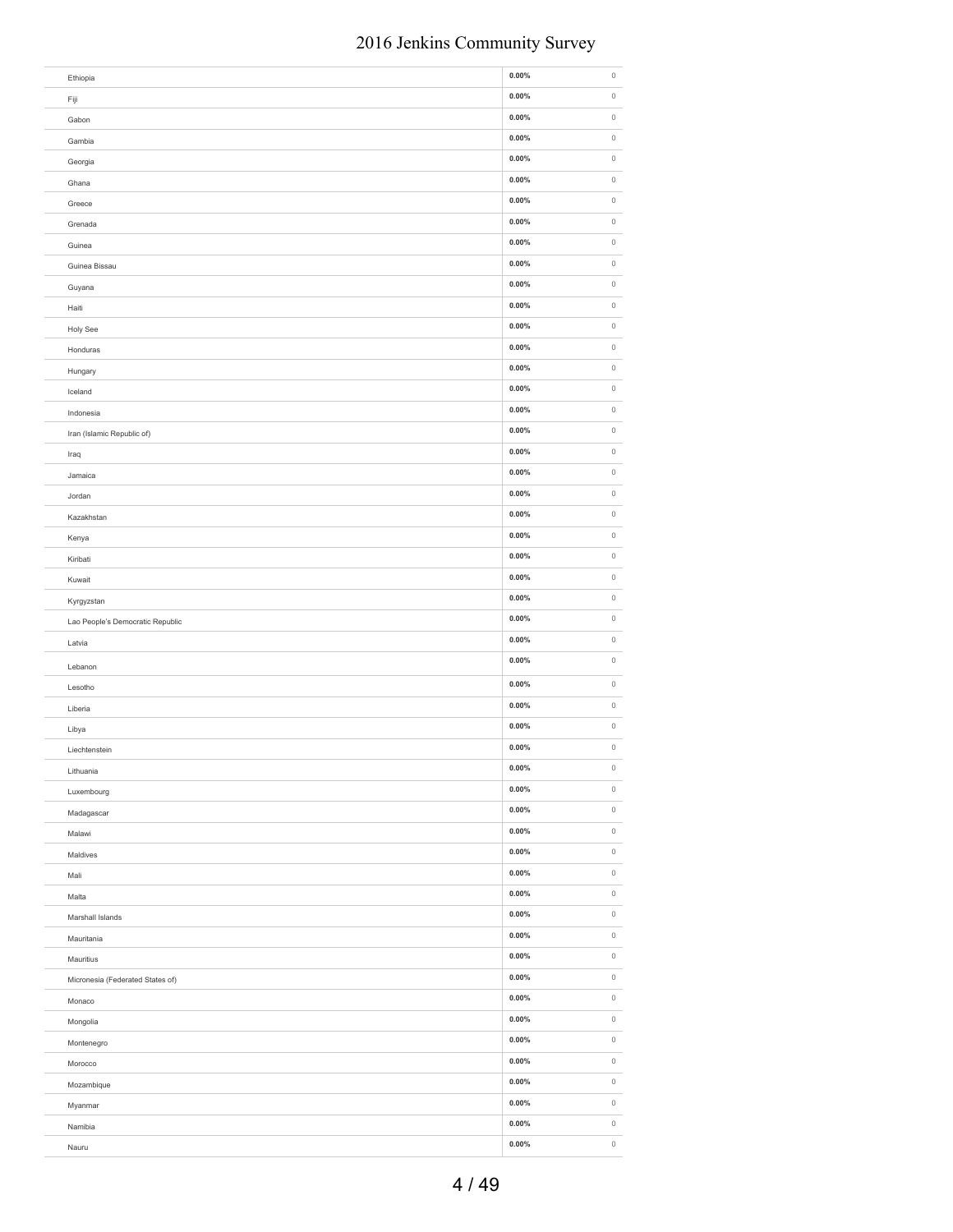| Ethiopia                         | $0.00\%$ | $\,0\,$     |
|----------------------------------|----------|-------------|
| Fiji                             | $0.00\%$ | $\mathbb O$ |
| Gabon                            | 0.00%    | $\mathbb O$ |
| Gambia                           | 0.00%    | $\,0\,$     |
| Georgia                          | $0.00\%$ | $\,0\,$     |
| Ghana                            | 0.00%    | $\mathbb O$ |
| Greece                           | 0.00%    | $\mathbb O$ |
| Grenada                          | 0.00%    | $\mathbb O$ |
| Guinea                           | $0.00\%$ | $\,0\,$     |
| Guinea Bissau                    | 0.00%    | $\,0\,$     |
| Guyana                           | 0.00%    | $\,0\,$     |
| Haiti                            | 0.00%    | $\,0\,$     |
| Holy See                         | 0.00%    | $\,0\,$     |
| Honduras                         | 0.00%    | $\,0\,$     |
| Hungary                          | 0.00%    | $\,0\,$     |
| Iceland                          | 0.00%    | $\,0\,$     |
| Indonesia                        | $0.00\%$ | $\mathbb O$ |
| Iran (Islamic Republic of)       | $0.00\%$ | $\mathbb O$ |
| Iraq                             | $0.00\%$ | $\mathbb O$ |
| Jamaica                          | 0.00%    | $\mathbb O$ |
| Jordan                           | $0.00\%$ | $\mathbb O$ |
| Kazakhstan                       | 0.00%    | $\mathbb O$ |
| Kenya                            | 0.00%    | $\mathbb O$ |
| Kiribati                         | 0.00%    | $\,0\,$     |
| Kuwait                           | 0.00%    | $\,0\,$     |
| Kyrgyzstan                       | 0.00%    | $\mathbb O$ |
| Lao People's Democratic Republic | $0.00\%$ | $\mathbb O$ |
| Latvia                           | $0.00\%$ | $\mathbb O$ |
| Lebanon                          | 0.00%    | $\,0\,$     |
| Lesotho                          | $0.00\%$ | $\mathbb O$ |
| Liberia                          | 0.00%    | $\,0\,$     |
| Libya                            | 0.00%    | $\mathbb O$ |
| Liechtenstein                    | 0.00%    | $\,0\,$     |
| Lithuania                        | $0.00\%$ | $\,0\,$     |
| Luxembourg                       | $0.00\%$ | $\mathbb O$ |
| Madagascar                       | $0.00\%$ | $\,0\,$     |
| Malawi                           | $0.00\%$ | $\mathbb O$ |
| Maldives                         | $0.00\%$ | $\mathbb O$ |
| Mali                             | $0.00\%$ | $\,0\,$     |
| Malta                            | $0.00\%$ | $\,0\,$     |
| Marshall Islands                 | $0.00\%$ | $\mathbb O$ |
| Mauritania                       | $0.00\%$ | $\mathbb O$ |
| Mauritius                        | $0.00\%$ | $\,0\,$     |
| Micronesia (Federated States of) | $0.00\%$ | $\,0\,$     |
| Monaco                           | $0.00\%$ | $\mathbb O$ |
| Mongolia                         | $0.00\%$ | $\mathbb O$ |
| Montenegro                       | $0.00\%$ | $\,0\,$     |
| Morocco                          | $0.00\%$ | $\,0\,$     |
| Mozambique                       | $0.00\%$ | $\circ$     |
| Myanmar                          | $0.00\%$ | $\mathbb O$ |
| Namibia                          | $0.00\%$ | $\mathbb O$ |
| Nauru                            | $0.00\%$ | $\mathbb O$ |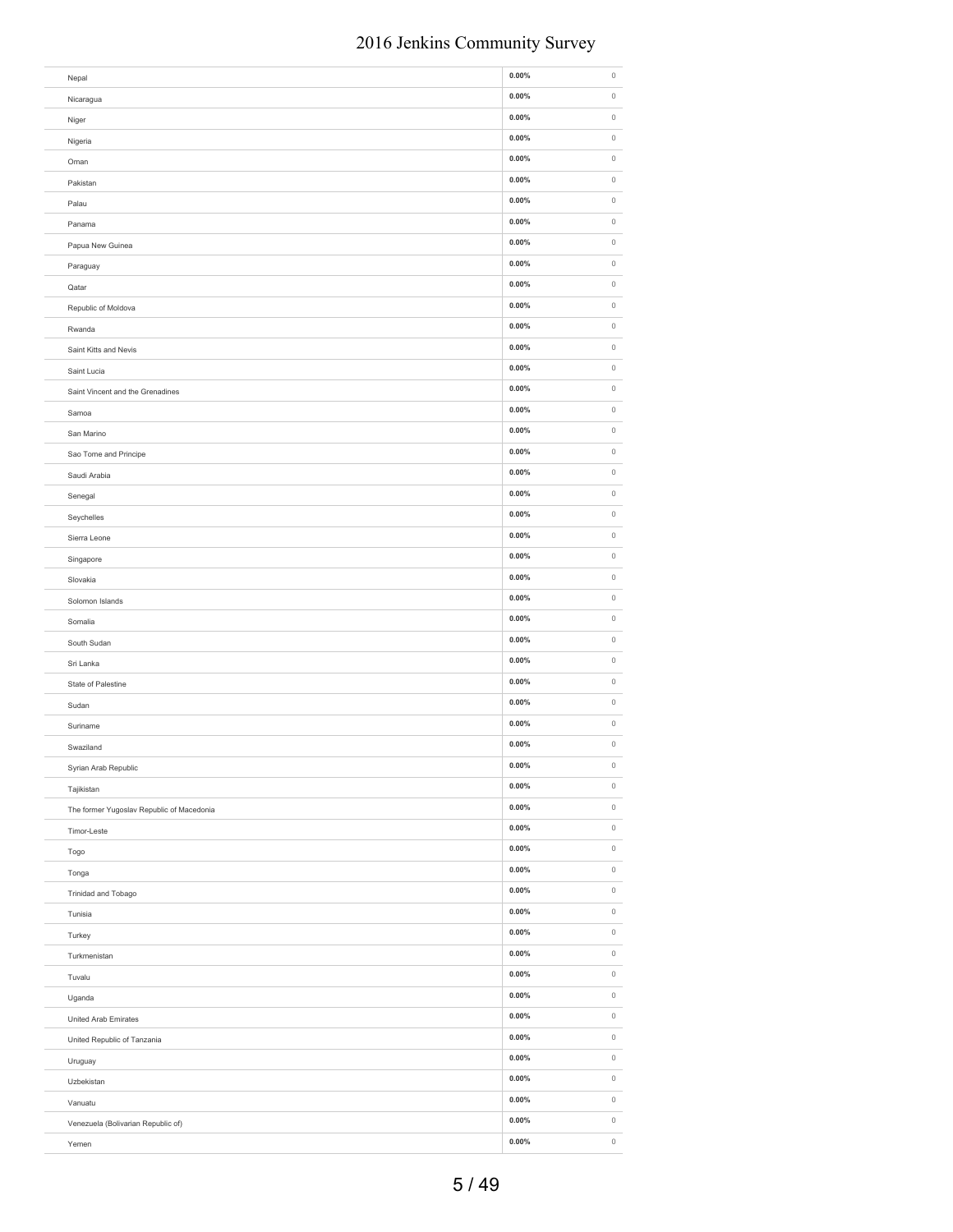| Nepal                                     | $0.00\%$             | $\mathbb O$            |
|-------------------------------------------|----------------------|------------------------|
| Nicaragua                                 | $0.00\%$             | $\mathbb O$            |
| Niger                                     | $0.00\%$             | $\mathbb O$            |
| Nigeria                                   | $0.00\%$             | $\mathbb O$            |
| Oman                                      | $0.00\%$             | $\mathbb O$            |
| Pakistan                                  | $0.00\%$             | $\mathbb O$            |
| Palau                                     | $0.00\%$             | $\mathbb O$            |
| Panama                                    | $0.00\%$             | $\mathbb O$            |
| Papua New Guinea                          | $0.00\%$             | $\mathbb O$            |
| Paraguay                                  | $0.00\%$             | $\circ$                |
| Qatar                                     | $0.00\%$             | $\mathbb O$            |
| Republic of Moldova                       | $0.00\%$             | $\mathbb O$            |
| Rwanda                                    | $0.00\%$             | $\mathbb O$            |
| Saint Kitts and Nevis                     | $0.00\%$             | $\circ$                |
| Saint Lucia                               | $0.00\%$             | $\mathbb O$            |
| Saint Vincent and the Grenadines          | $0.00\%$             | $\mathbb O$            |
| Samoa                                     | $0.00\%$             | $\,0\,$                |
|                                           | $0.00\%$             | $\,0\,$                |
| San Marino                                | $0.00\%$             | $\,0\,$                |
| Sao Tome and Principe                     |                      | $\,0\,$                |
| Saudi Arabia                              | $0.00\%$             |                        |
| Senegal                                   | $0.00\%$             | $\,0\,$                |
| Seychelles                                | $0.00\%$             | $\,0\,$                |
| Sierra Leone                              | $0.00\%$             | $\,0\,$                |
| Singapore                                 | $0.00\%$             | $\,0\,$                |
| Slovakia                                  | $0.00\%$             | $\,0\,$                |
| Solomon Islands                           | $0.00\%$             | $\mathsf{O}\xspace$    |
|                                           |                      |                        |
| Somalia                                   | $0.00\%$             | $\,0\,$                |
| South Sudan                               | $0.00\%$             | $\,0\,$                |
| Sri Lanka                                 | $0.00\%$             | $\mathbb O$            |
| State of Palestine                        | $0.00\%$             | $\mathbb O$            |
| Sudan                                     | $0.00\%$             | $\mathbb O$            |
| Suriname                                  | $0.00\%$             | $\mathbb O$            |
| Swaziland                                 | $0.00\%$             | $\mathbb O$            |
|                                           | $0.00\%$             | $\mathsf{O}\xspace$    |
| Syrian Arab Republic<br>Tajikistan        | $0.00\%$             | $\mathbb O$            |
| The former Yugoslav Republic of Macedonia | $0.00\%$             | $\mathbb O$            |
| Timor-Leste                               | $0.00\%$             | $\mathbb O$            |
|                                           | $0.00\%$             | $\mathbb O$            |
| Togo                                      | $0.00\%$             | $\circ$                |
| Tonga                                     | $0.00\%$             | $\mathbb O$            |
| Trinidad and Tobago                       | $0.00\%$             | $\circ$                |
| Tunisia                                   | $0.00\%$             | $\mathbb O$            |
| Turkey                                    |                      |                        |
| Turkmenistan                              | $0.00\%$             | $\mathbb O$            |
| Tuvalu                                    | $0.00\%$             | $\mathbb O$            |
| Uganda                                    | $0.00\%$             | $\,0\,$                |
| <b>United Arab Emirates</b>               | $0.00\%$             | $\,0\,$                |
| United Republic of Tanzania               | $0.00\%$             | $\mathbb O$            |
| Uruguay                                   | $0.00\%$             | $\mathbb O$            |
| Uzbekistan                                | $0.00\%$             | $\mathbb O$            |
| Vanuatu                                   | $0.00\%$             | $\,0\,$                |
| Venezuela (Bolivarian Republic of)        | $0.00\%$<br>$0.00\%$ | $\circ$<br>$\mathbb O$ |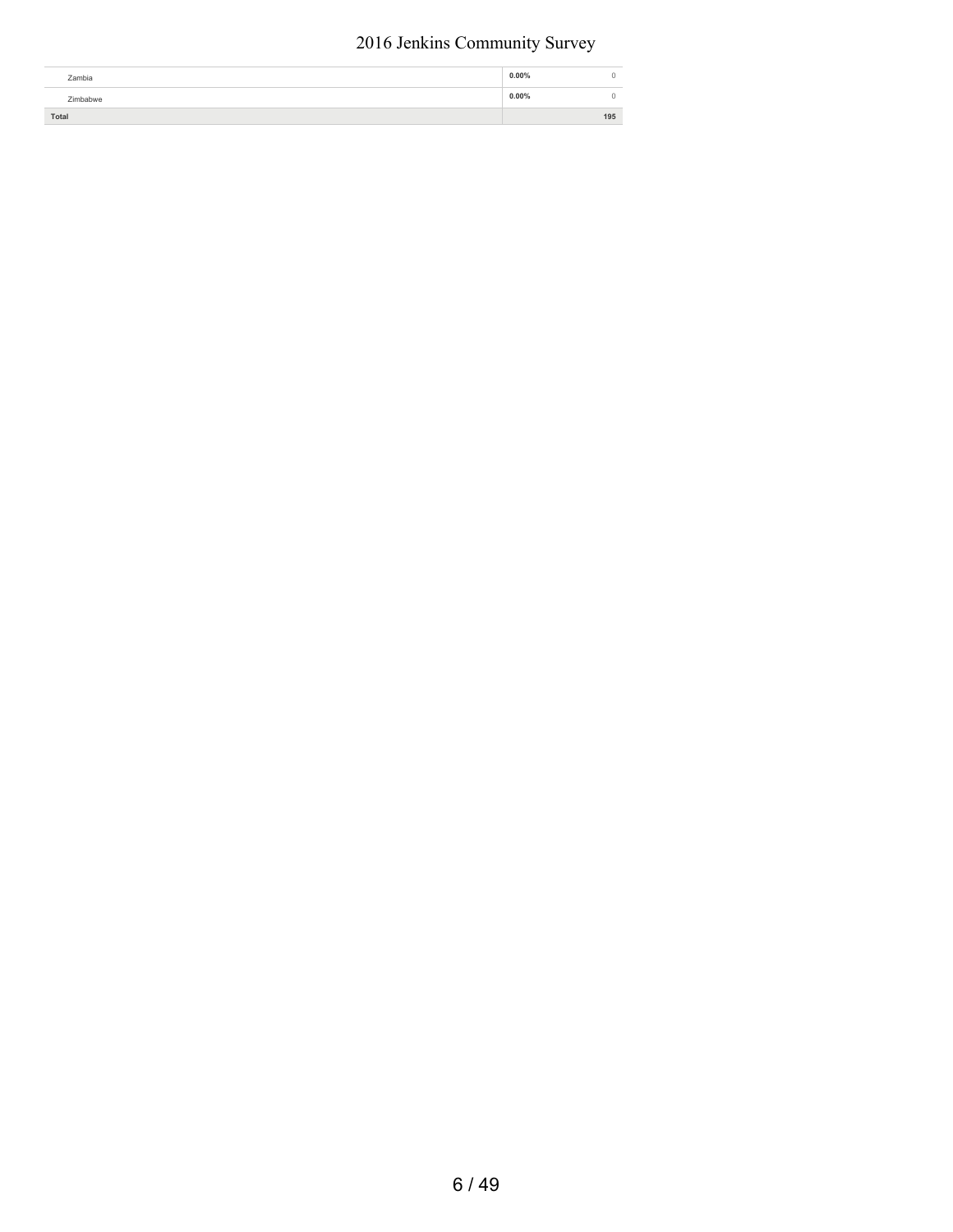| Zambia   | $0.00\%$ |     |
|----------|----------|-----|
| Zimbabwe | $0.00\%$ |     |
| Total    |          | 195 |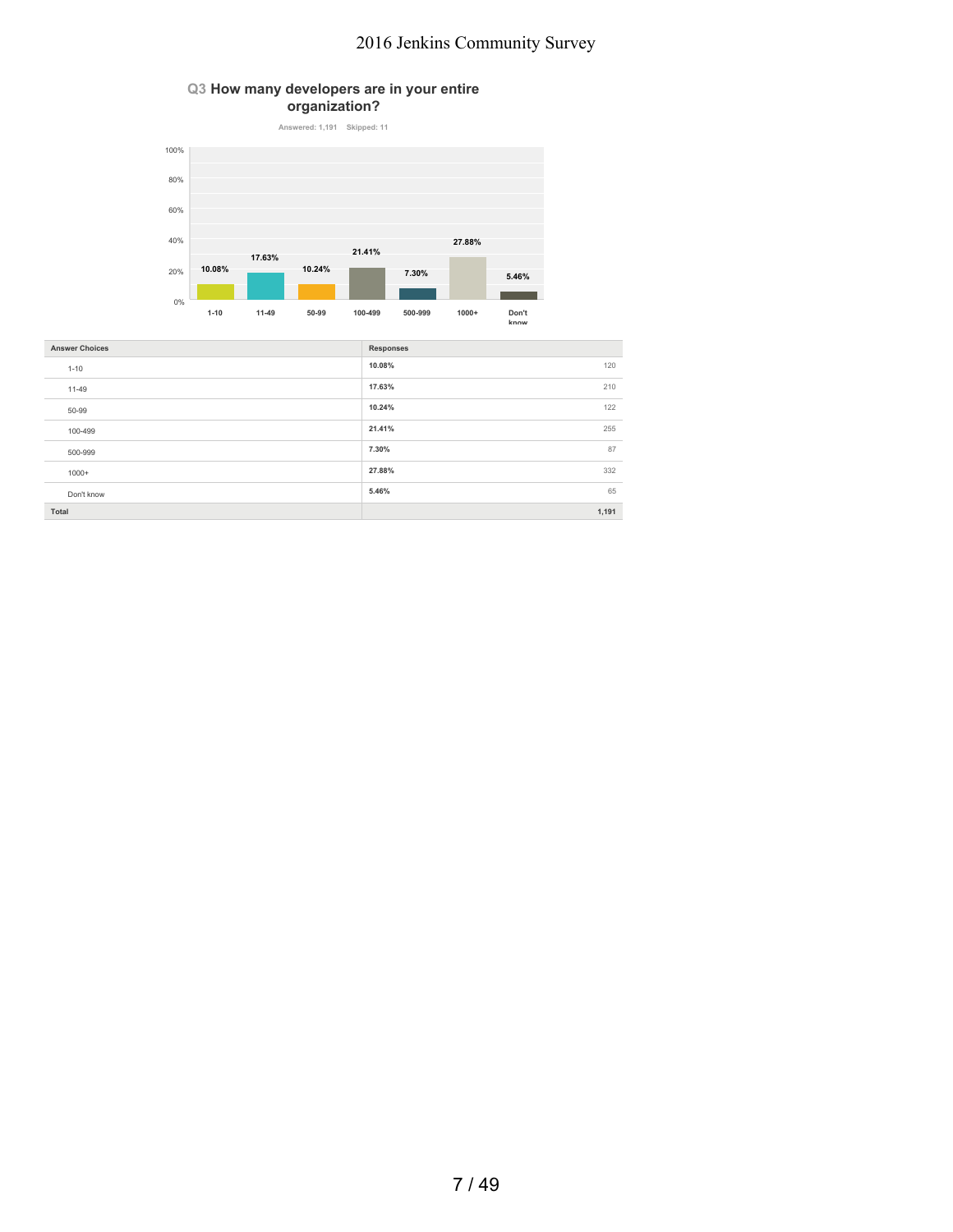### **Q3 How many developers are in your entire organization?**



| <b>Answer Choices</b> | <b>Responses</b> |
|-----------------------|------------------|
| $1 - 10$              | 10.08%<br>120    |
| 11-49                 | 210<br>17.63%    |
| 50-99                 | 10.24%<br>122    |
| 100-499               | 255<br>21.41%    |
| 500-999               | 87<br>7.30%      |
| $1000+$               | 332<br>27.88%    |
| Don't know            | 65<br>5.46%      |
| Total                 | 1,191            |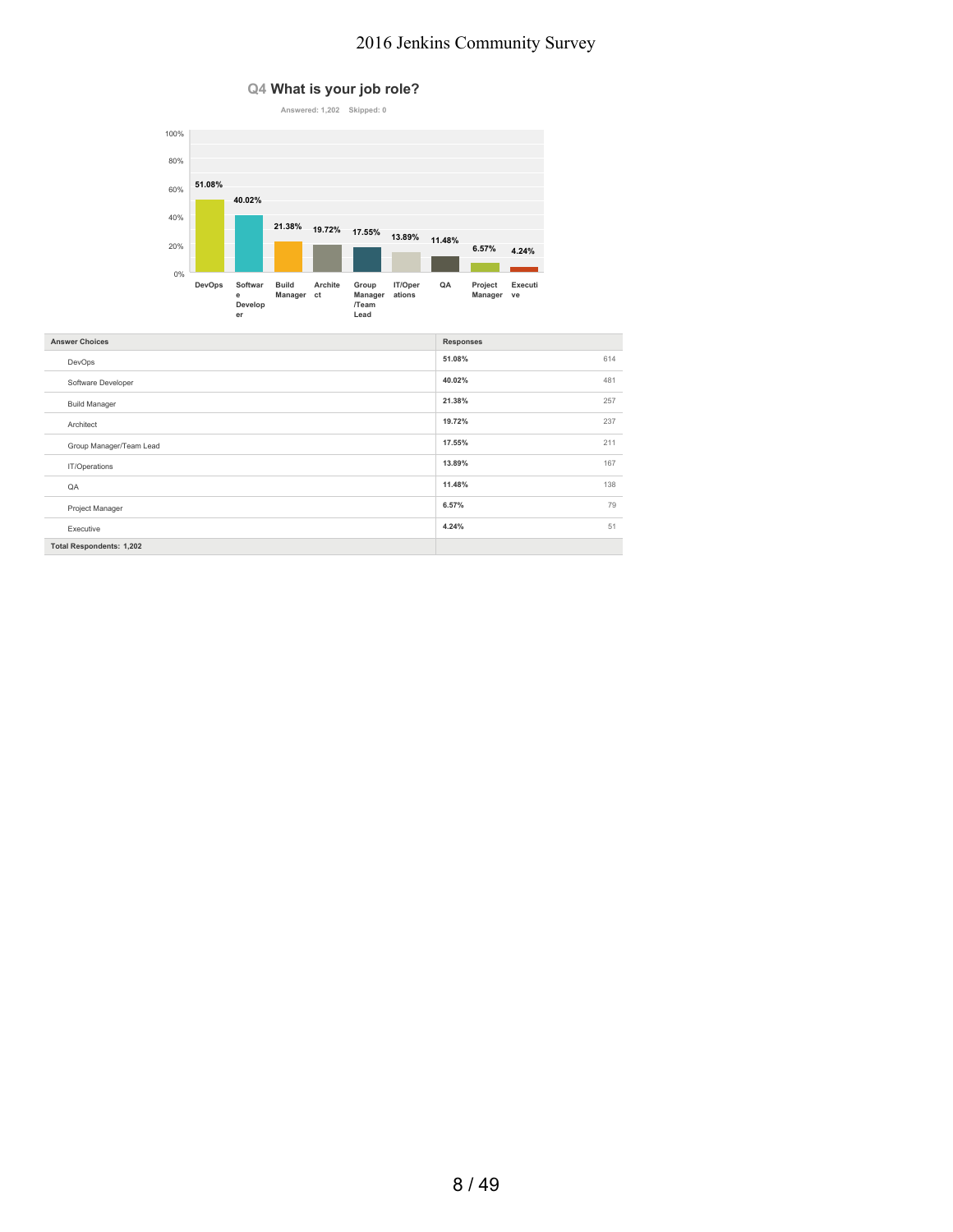### **Q4 What is your job role?**



| <b>Answer Choices</b>           | <b>Responses</b> |
|---------------------------------|------------------|
| DevOps                          | 51.08%<br>614    |
| Software Developer              | 40.02%<br>481    |
| <b>Build Manager</b>            | 21.38%<br>257    |
| Architect                       | 19.72%<br>237    |
| Group Manager/Team Lead         | 211<br>17.55%    |
| IT/Operations                   | 13.89%<br>167    |
| QA                              | 11.48%<br>138    |
| Project Manager                 | 79<br>6.57%      |
| Executive                       | 51<br>4.24%      |
| <b>Total Respondents: 1,202</b> |                  |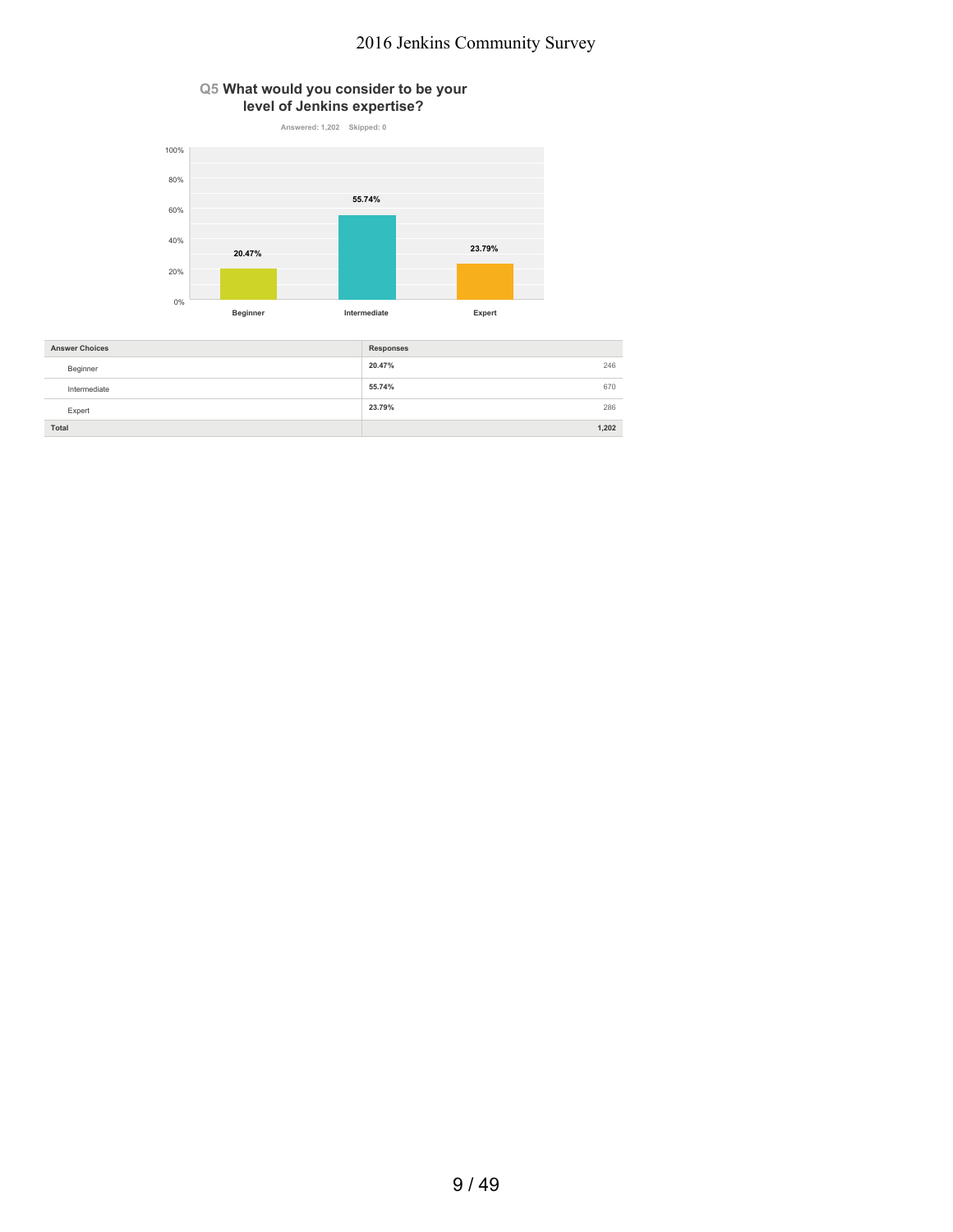### **Q5 What would you consider to be your level of Jenkins expertise?**



| <b>Answer Choices</b> | <b>Responses</b> |       |
|-----------------------|------------------|-------|
| Beginner              | 20.47%           | 246   |
| Intermediate          | 55.74%           | 670   |
| Expert                | 23.79%           | 286   |
| Total                 |                  | 1.202 |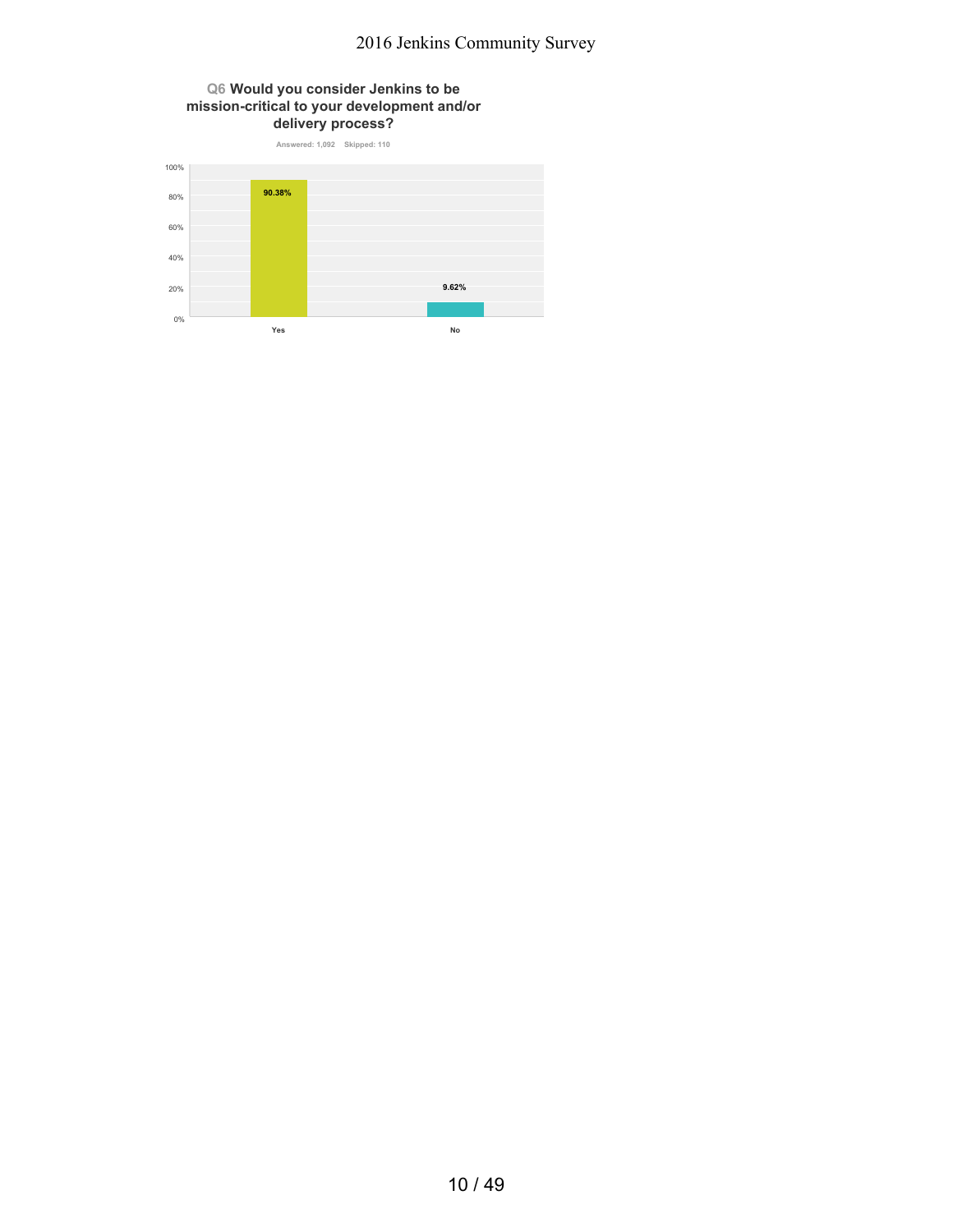### **Q6 Would you consider Jenkins to be mission-critical to your development and/or delivery process?**

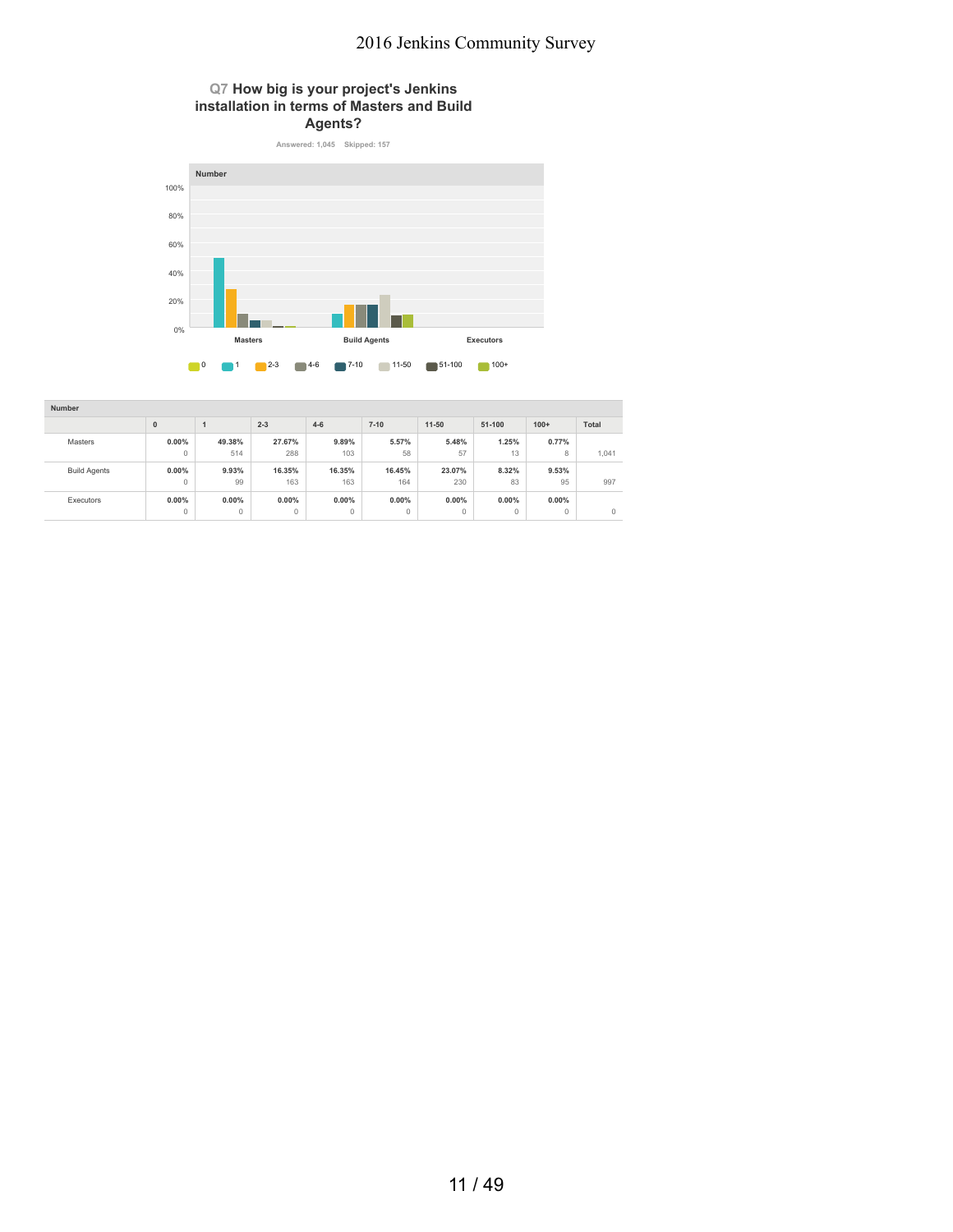### **Q7 How big is your project's Jenkins installation in terms of Masters and Build Agents?**



| Number              |              |        |          |          |          |              |         |          |         |
|---------------------|--------------|--------|----------|----------|----------|--------------|---------|----------|---------|
|                     | $\mathbf{0}$ |        | $2 - 3$  | $4 - 6$  | $7 - 10$ | $11 - 50$    | 51-100  | $100+$   | Total   |
| Masters             | $0.00\%$     | 49.38% | 27.67%   | 9.89%    | 5.57%    | 5.48%        | 1.25%   | 0.77%    |         |
|                     | $\circ$      | 514    | 288      | 103      | 58       | 57           | 13      | 8        | 1,041   |
| <b>Build Agents</b> | $0.00\%$     | 9.93%  | 16.35%   | 16.35%   | 16.45%   | 23.07%       | 8.32%   | 9.53%    |         |
|                     | $\circ$      | 99     | 163      | 163      | 164      | 230          | 83      | 95       | 997     |
| Executors           | $0.00\%$     | 0.00%  | $0.00\%$ | $0.00\%$ | $0.00\%$ | 0.00%        | 0.00%   | $0.00\%$ |         |
|                     | $\circ$      | 0      | $\circ$  | 0        | $\circ$  | $\mathbf{0}$ | $\circ$ | $\circ$  | $\circ$ |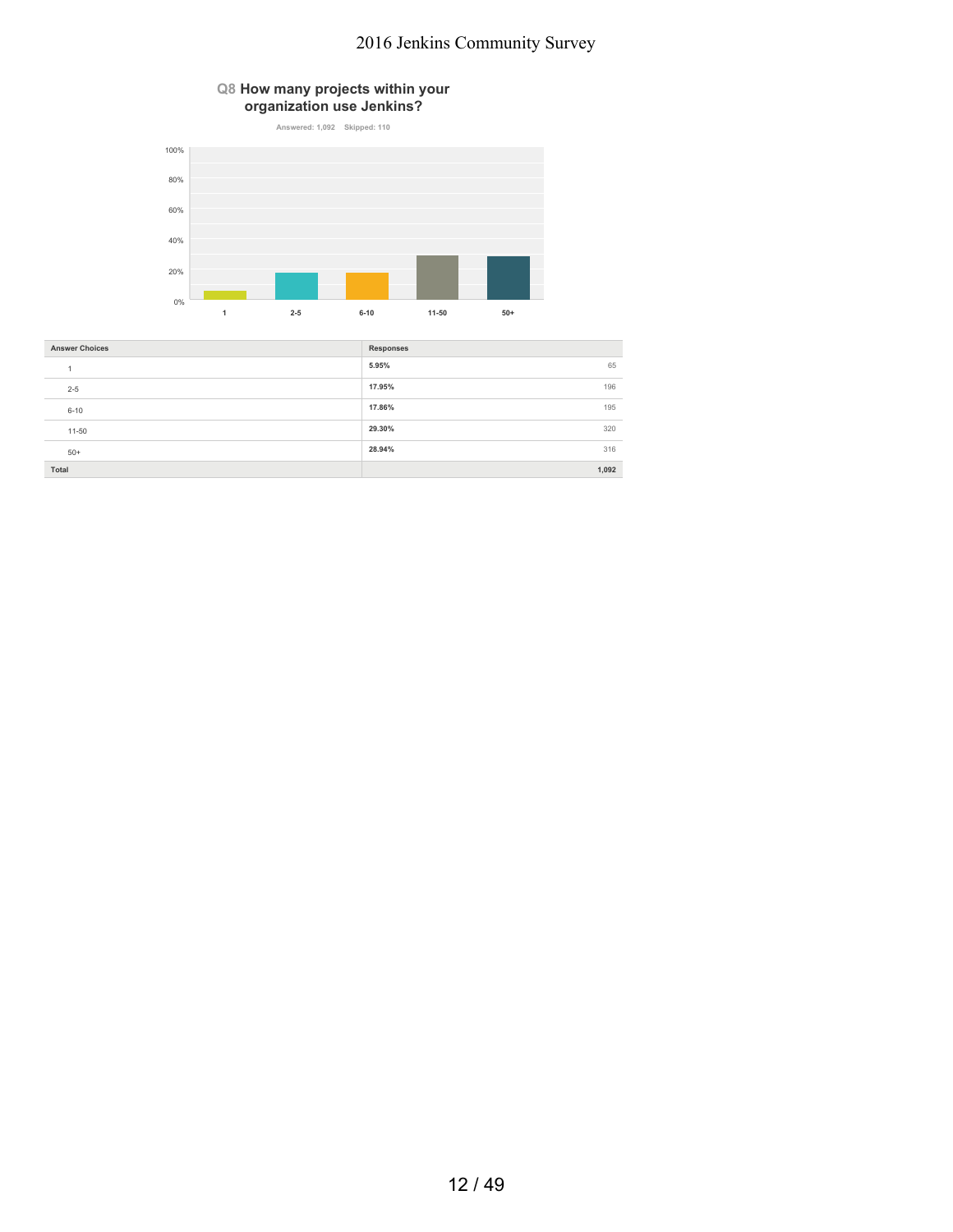### **Q8 How many projects within your organization use Jenkins?**



| <b>Answer Choices</b> | <b>Responses</b> |
|-----------------------|------------------|
|                       | 5.95%<br>65      |
| $2 - 5$               | 17.95%<br>196    |
| $6 - 10$              | 17.86%<br>195    |
| $11 - 50$             | 29.30%<br>320    |
| $50+$                 | 28.94%<br>316    |
| Total                 | 1,092            |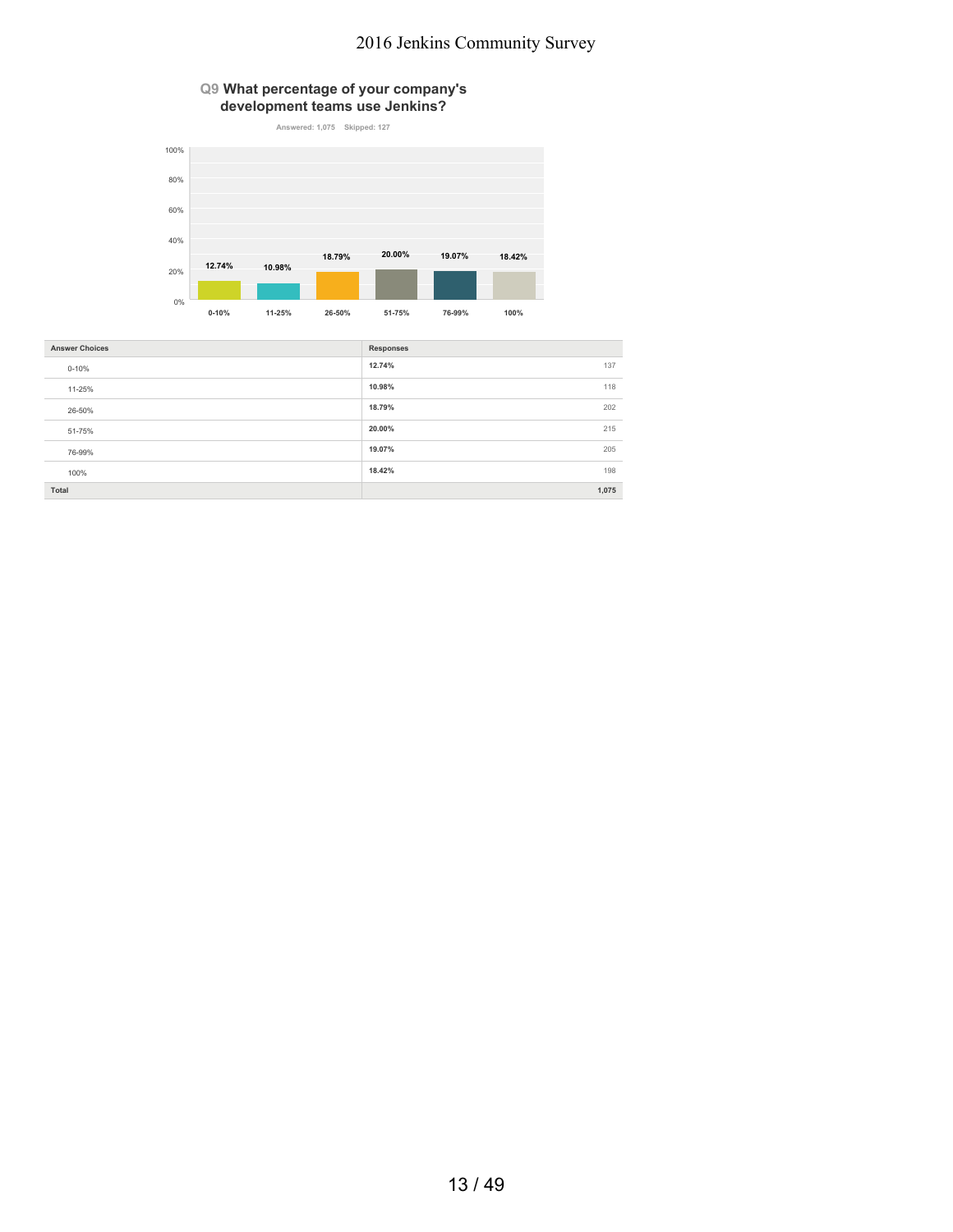**Q9 What percentage of your company's development teams use Jenkins?**



| <b>Answer Choices</b> | <b>Responses</b> |
|-----------------------|------------------|
| $0 - 10%$             | 12.74%<br>137    |
| 11-25%                | 10.98%<br>118    |
| 26-50%                | 18.79%<br>202    |
| 51-75%                | 215<br>20.00%    |
| 76-99%                | 205<br>19.07%    |
| 100%                  | 18.42%<br>198    |
| Total                 | 1,075            |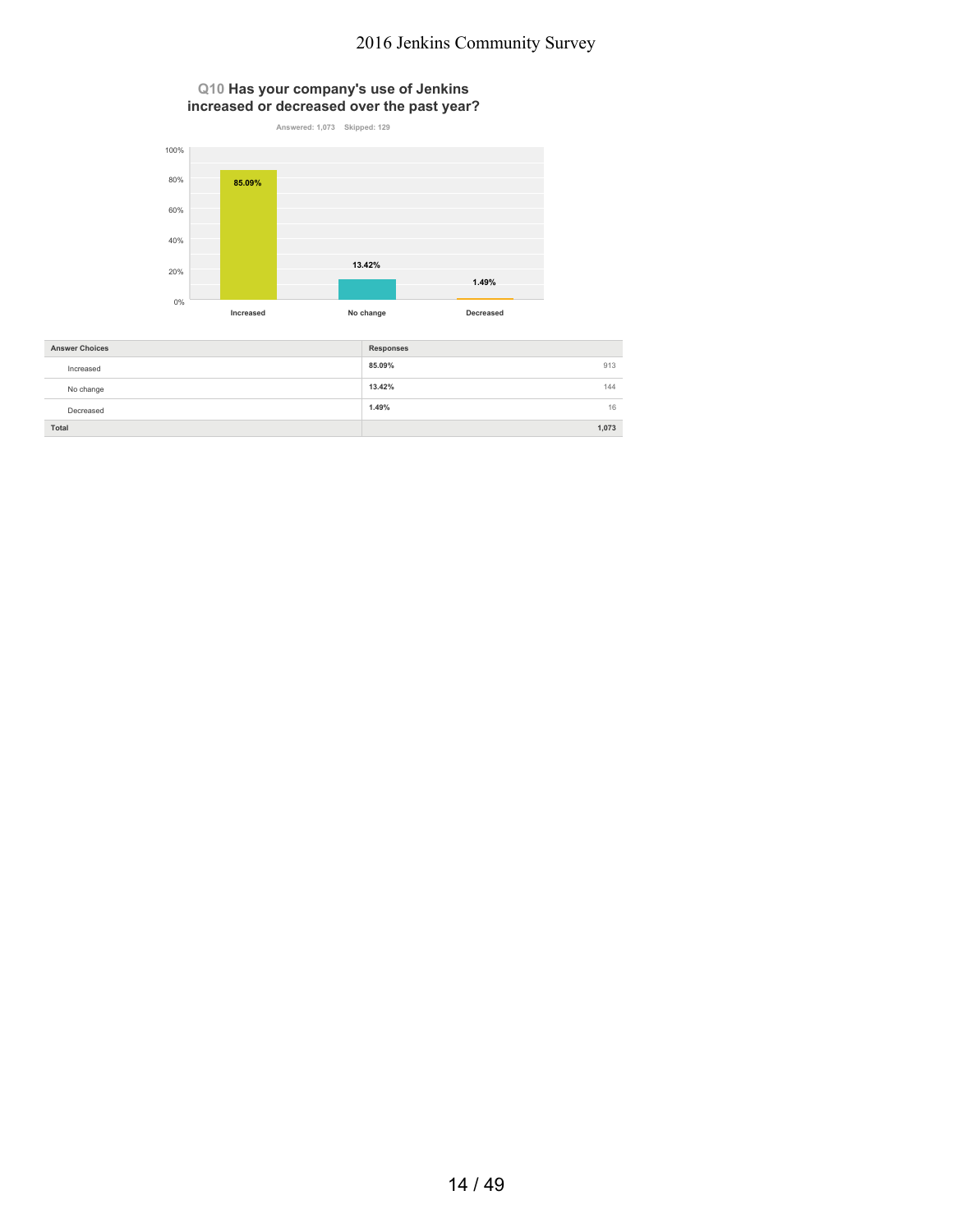**Q10 Has your company's use of Jenkins increased or decreased over the past year?**



| <b>Answer Choices</b> | <b>Responses</b> |
|-----------------------|------------------|
| Increased             | 85.09%<br>913    |
| No change             | 13.42%<br>144    |
| Decreased             | 1.49%<br>16      |
| Total                 | 1.073            |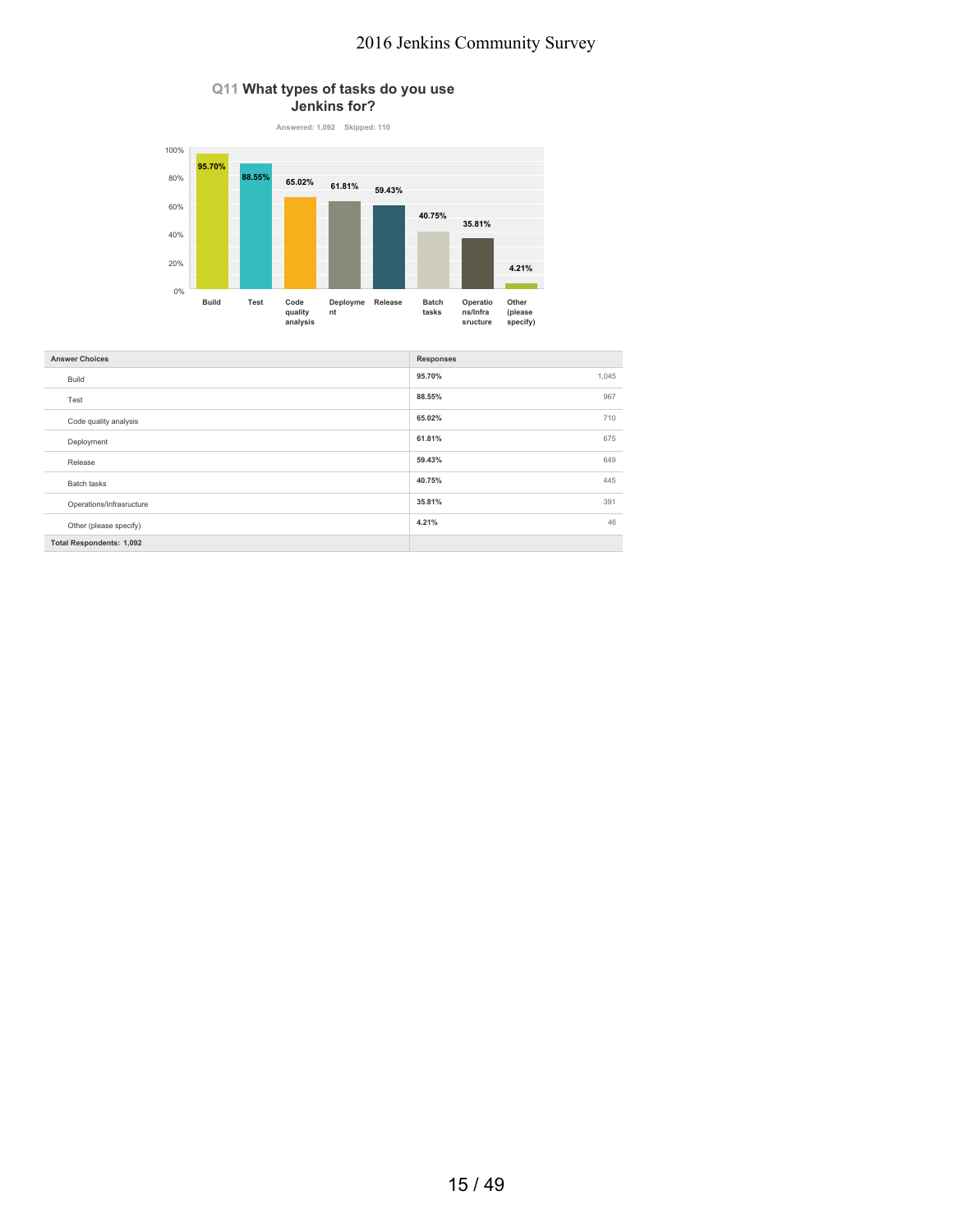### **Q11 What types of tasks do you use Jenkins for?**



| <b>Responses</b> |
|------------------|
| 95.70%<br>1,045  |
| 88.55%<br>967    |
| 65.02%<br>710    |
| 61.81%<br>675    |
| 59.43%<br>649    |
| 40.75%<br>445    |
| 35.81%<br>391    |
| 46<br>4.21%      |
|                  |
|                  |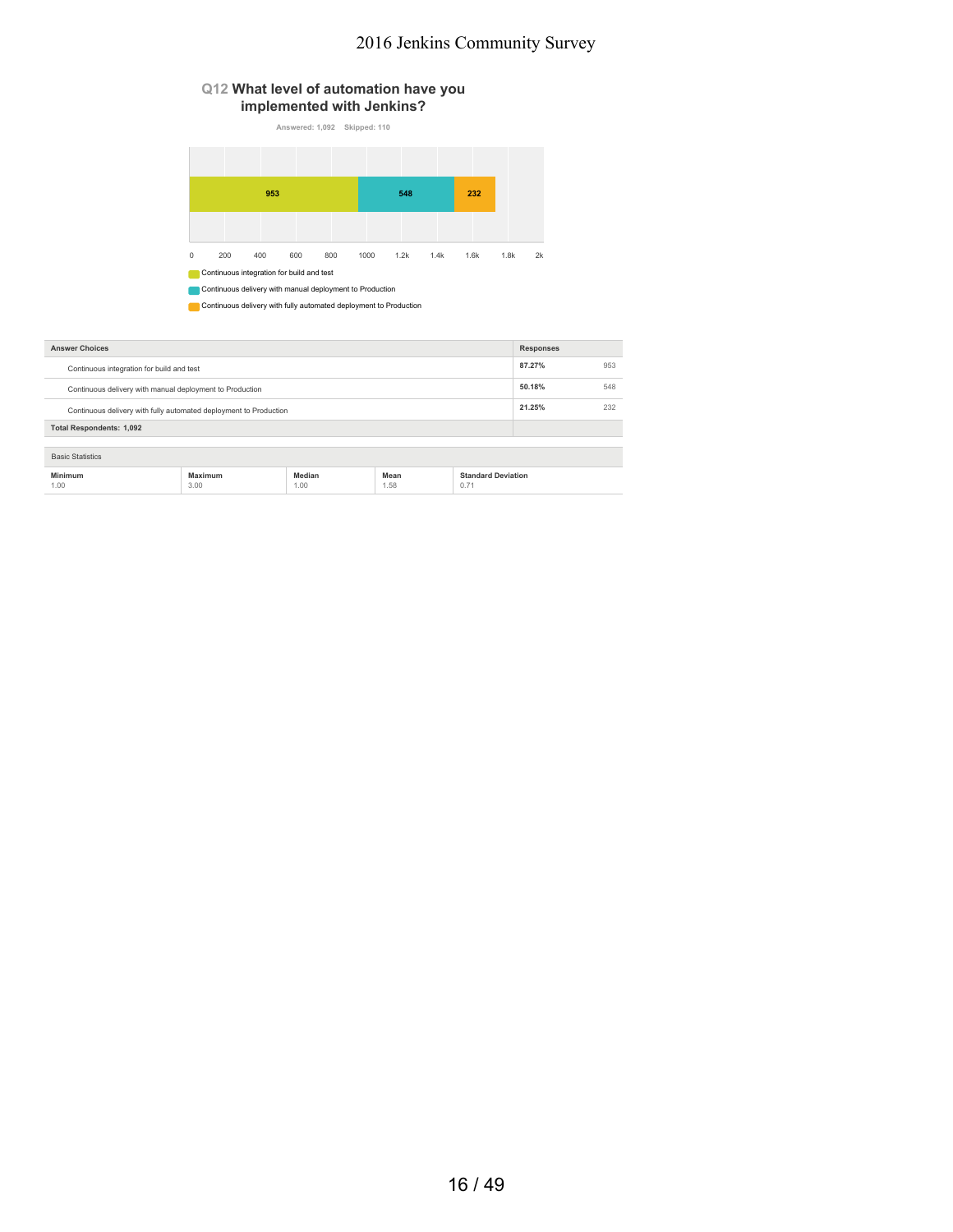### **Q12 What level of automation have you implemented with Jenkins?**

**Answered: 1,092 Skipped: 110**

|             |                                                          | 953 |     |     |      | 548  |      | 232  |      |    |
|-------------|----------------------------------------------------------|-----|-----|-----|------|------|------|------|------|----|
|             |                                                          |     |     |     |      |      |      |      |      |    |
|             |                                                          |     |     |     |      |      |      |      |      |    |
| $\mathbf 0$ | 200                                                      | 400 | 600 | 800 | 1000 | 1.2k | 1.4k | 1.6k | 1.8k | 2k |
|             | Continuous integration for build and test                |     |     |     |      |      |      |      |      |    |
|             | Continuous delivery with manual deployment to Production |     |     |     |      |      |      |      |      |    |

**Continuous delivery with fully automated deployment to Production** 

| <b>Answer Choices</b>                                             |                 |                |              |                                   | <b>Responses</b> |     |
|-------------------------------------------------------------------|-----------------|----------------|--------------|-----------------------------------|------------------|-----|
| Continuous integration for build and test                         |                 |                |              |                                   | 87.27%           | 953 |
| Continuous delivery with manual deployment to Production          |                 |                |              |                                   | 50.18%           | 548 |
| Continuous delivery with fully automated deployment to Production |                 |                |              |                                   | 21.25%           | 232 |
| <b>Total Respondents: 1,092</b>                                   |                 |                |              |                                   |                  |     |
| <b>Basic Statistics</b>                                           |                 |                |              |                                   |                  |     |
| Minimum<br>1.00                                                   | Maximum<br>3.00 | Median<br>1.00 | Mean<br>1.58 | <b>Standard Deviation</b><br>0.71 |                  |     |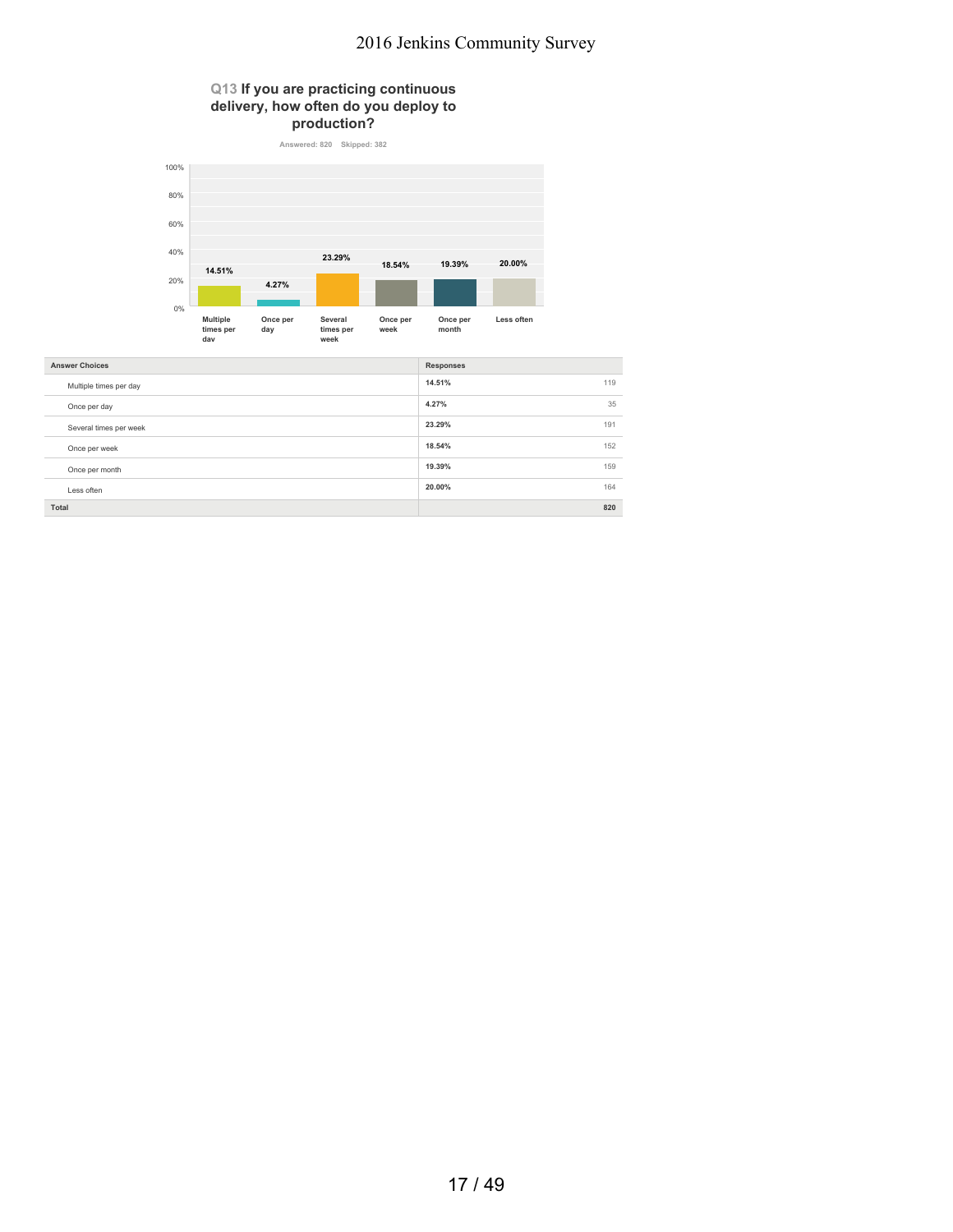## **Q13 If you are practicing continuous delivery, how often do you deploy to**



| <b>Answer Choices</b>  | <b>Responses</b> |
|------------------------|------------------|
| Multiple times per day | 14.51%<br>119    |
| Once per day           | 4.27%<br>35      |
| Several times per week | 23.29%<br>191    |
| Once per week          | 18.54%<br>152    |
| Once per month         | 19.39%<br>159    |
| Less often             | 20.00%<br>164    |
| Total                  | 820              |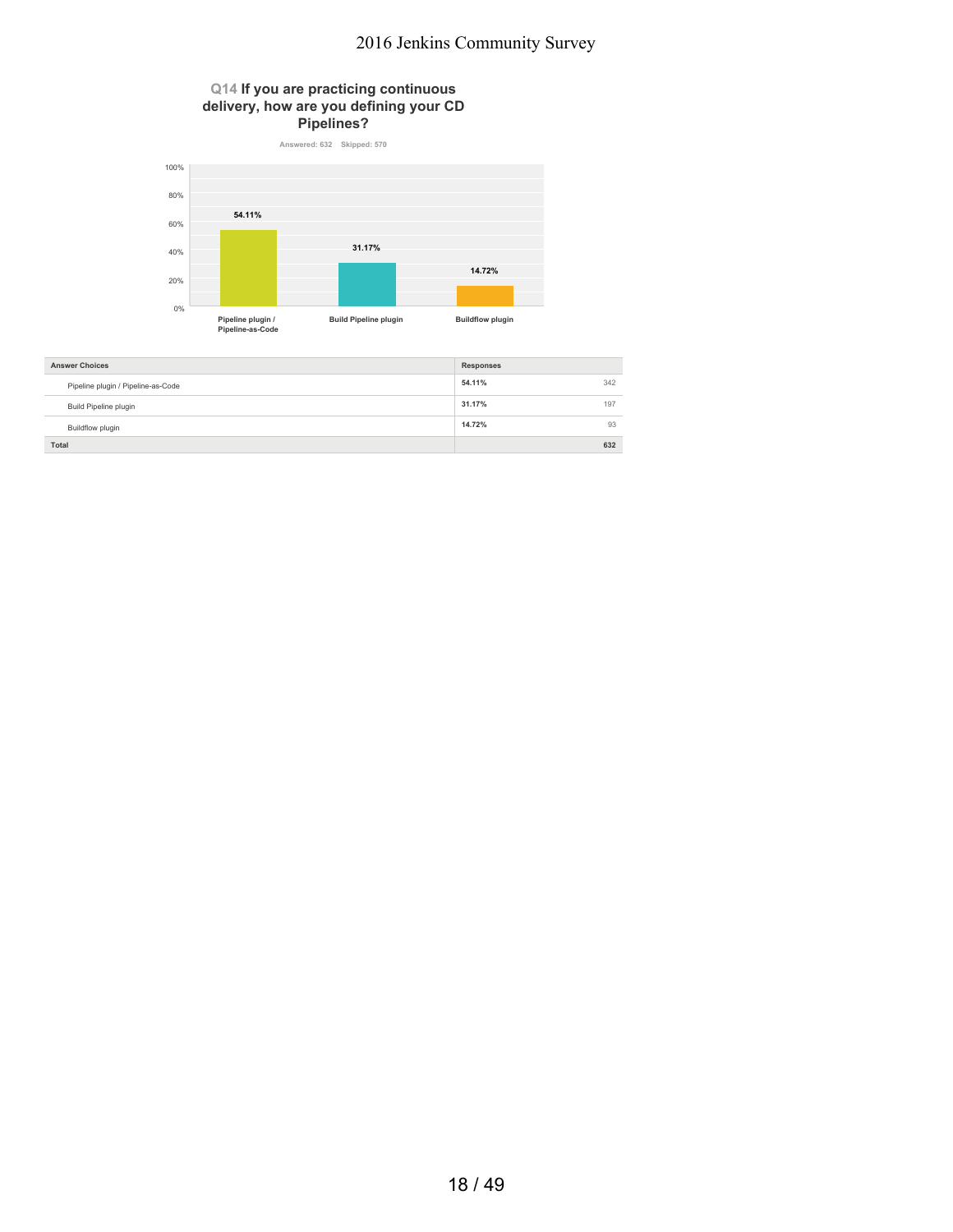#### **Q14 If you are practicing continuous delivery, how are you defining your CD Pipelines?**



| <b>Answer Choices</b>              | <b>Responses</b> |     |
|------------------------------------|------------------|-----|
| Pipeline plugin / Pipeline-as-Code | 54.11%           | 342 |
| Build Pipeline plugin              | 31.17%           | 197 |
| Buildflow plugin                   | 14.72%           | 93  |
| Total                              |                  | 632 |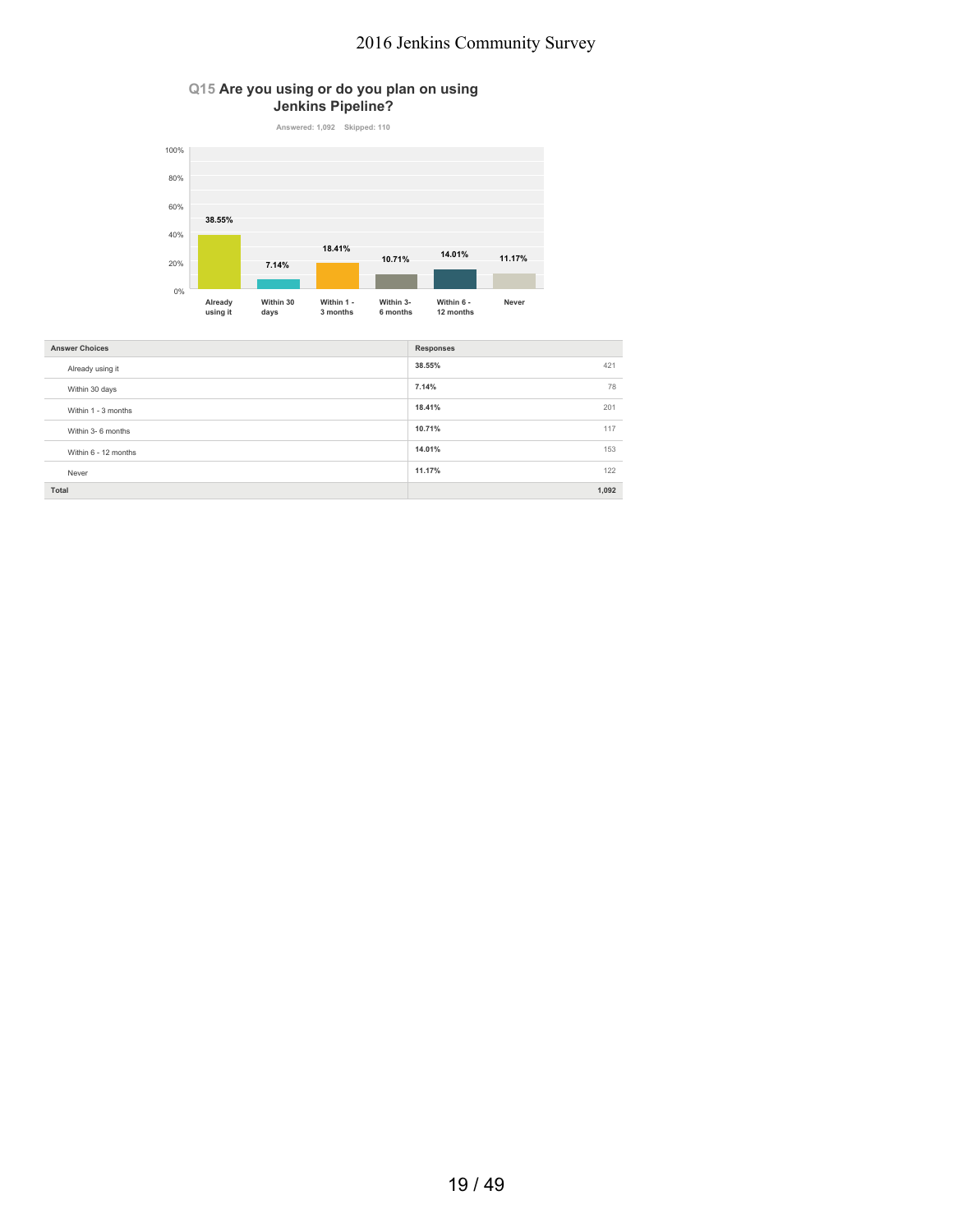### **Q15 Are you using or do you plan on using Jenkins Pipeline?**



| <b>Answer Choices</b> | <b>Responses</b> |
|-----------------------|------------------|
| Already using it      | 38.55%<br>421    |
| Within 30 days        | 7.14%<br>78      |
| Within 1 - 3 months   | 18.41%<br>201    |
| Within 3- 6 months    | 10.71%<br>117    |
| Within 6 - 12 months  | 14.01%<br>153    |
| Never                 | 11.17%<br>122    |
| Total                 | 1,092            |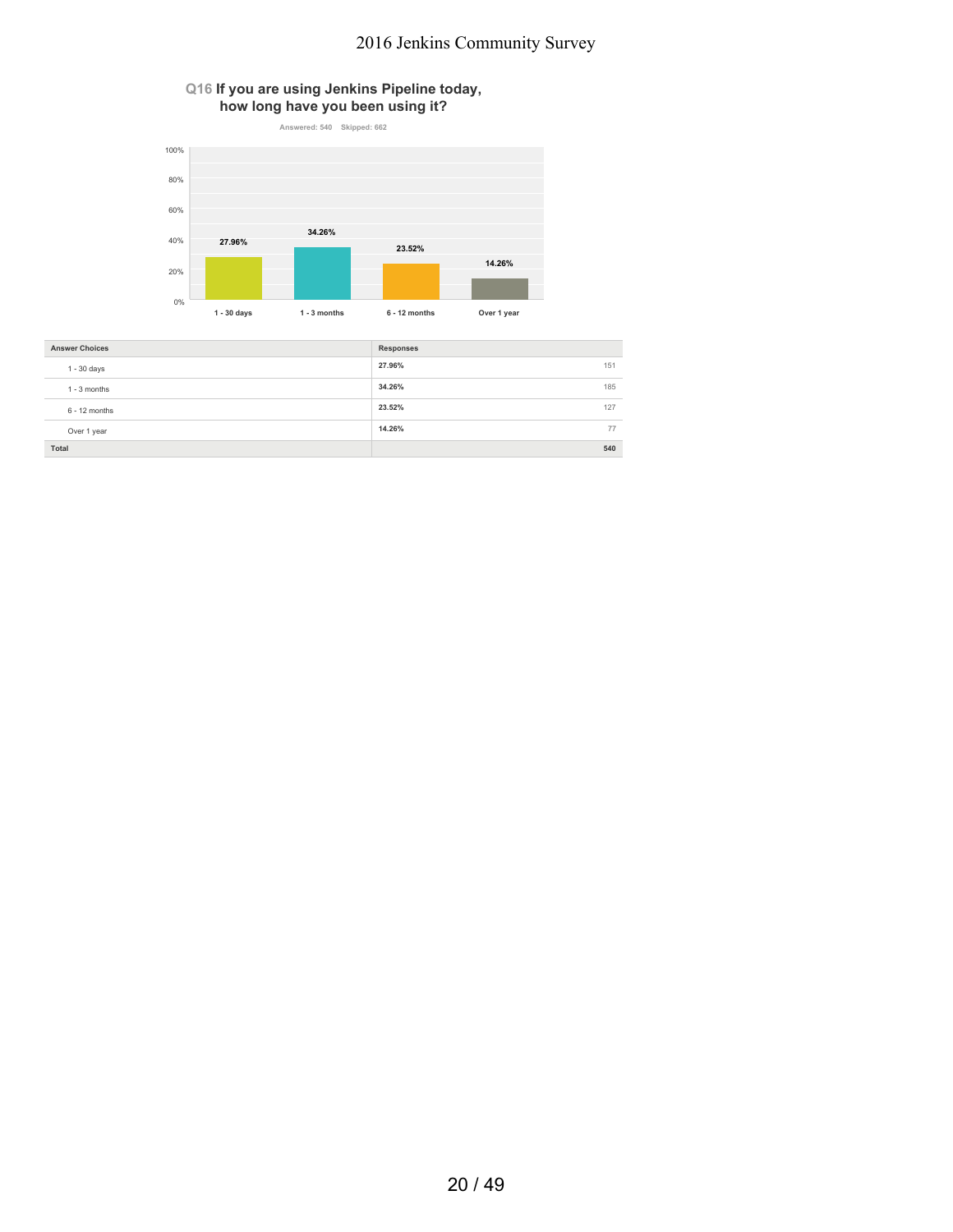



| <b>Answer Choices</b> | Responses     |     |
|-----------------------|---------------|-----|
| $1 - 30$ days         | 27.96%<br>151 |     |
| $1 - 3$ months        | 34.26%        | 185 |
| $6 - 12$ months       | 23.52%        | 127 |
| Over 1 year           | 14.26%        | 77  |
| Total                 | 540           |     |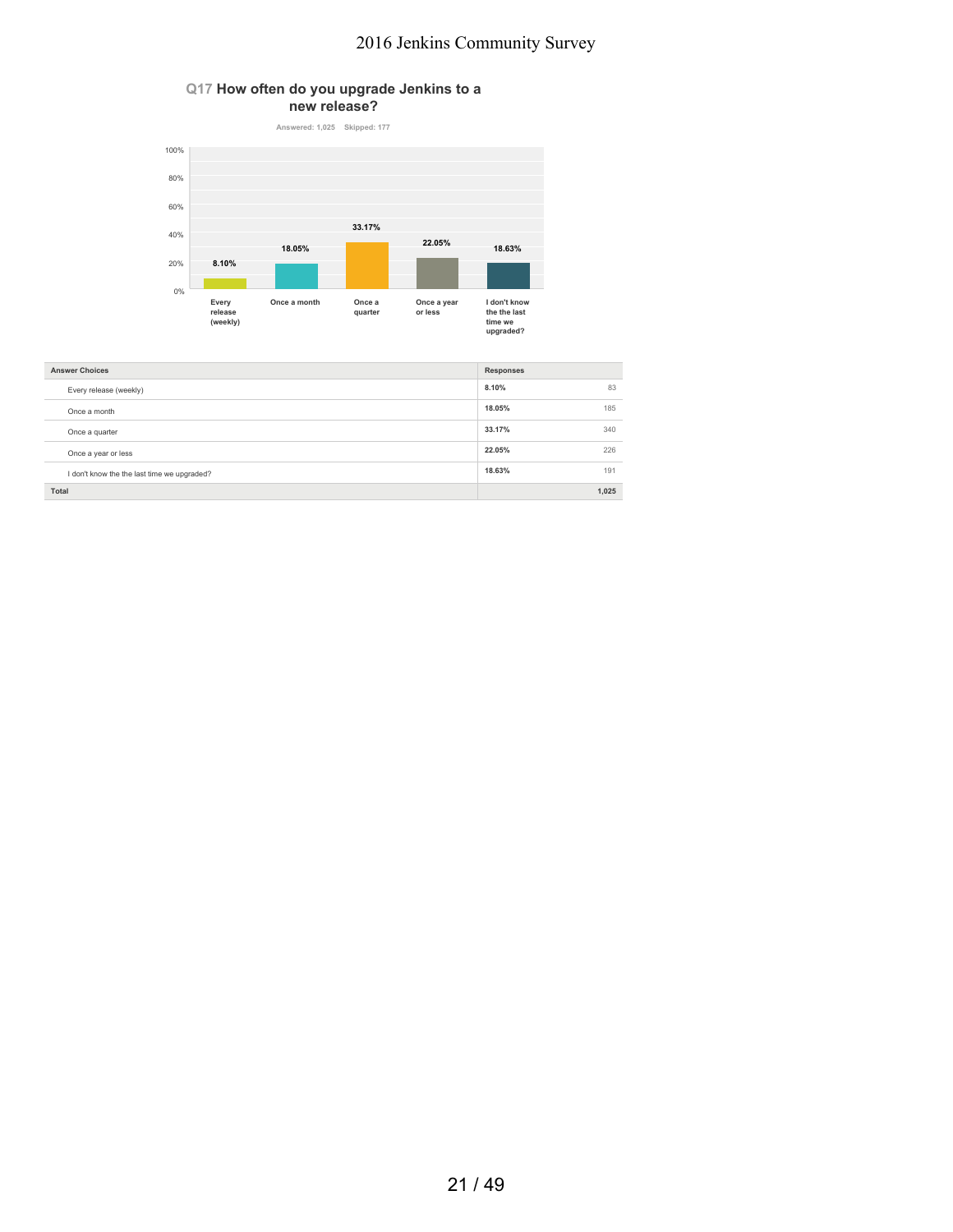#### **Q17 How often do you upgrade Jenkins to a new release?**



| <b>Answer Choices</b>                       | <b>Responses</b> |       |
|---------------------------------------------|------------------|-------|
| Every release (weekly)                      | 8.10%            | 83    |
| Once a month                                | 18.05%           | 185   |
| Once a quarter                              | 33.17%           | 340   |
| Once a year or less                         | 22.05%           | 226   |
| I don't know the the last time we upgraded? | 18.63%           | 191   |
| Total                                       |                  | 1,025 |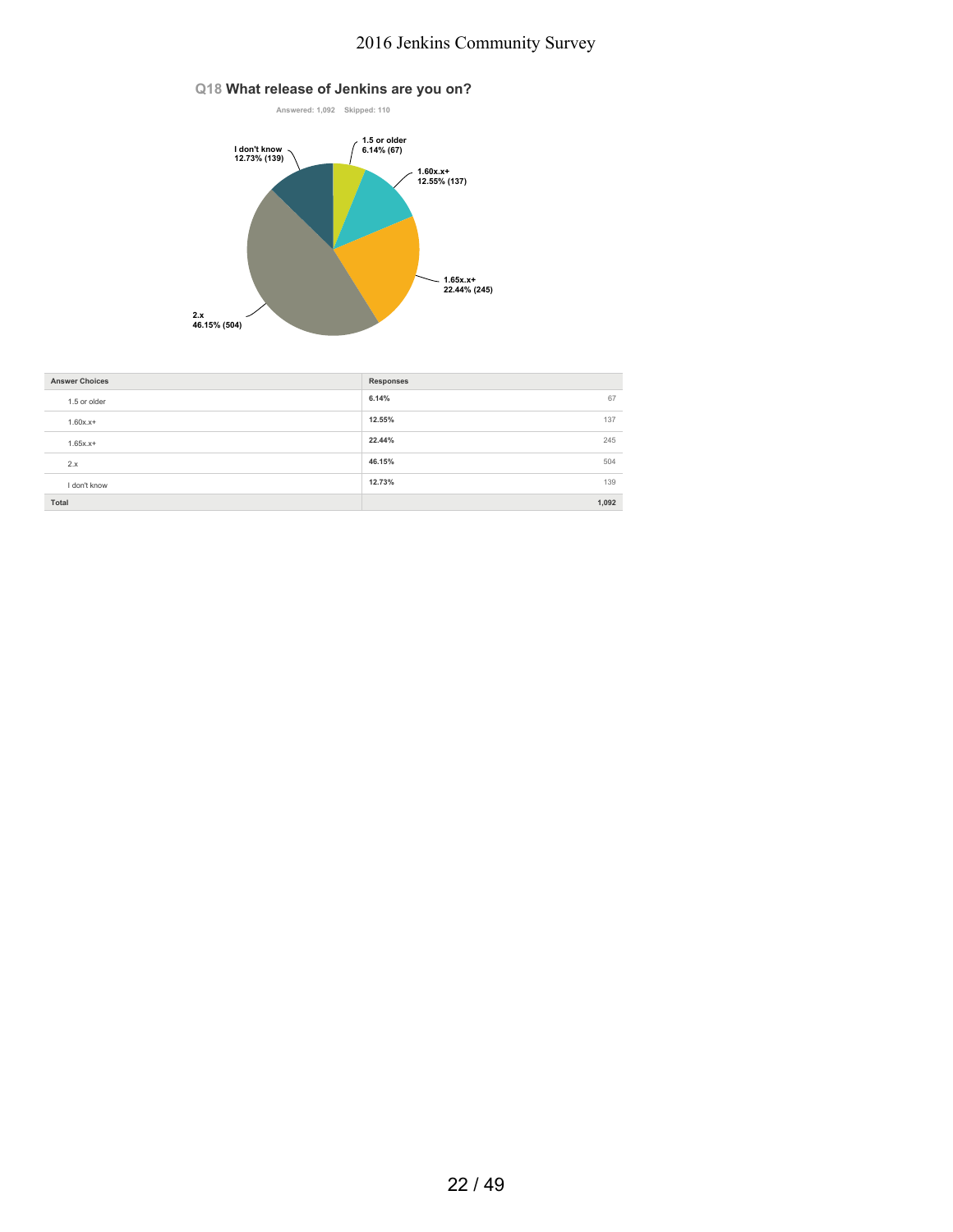### **Q18 What release of Jenkins are you on?**



| <b>Answer Choices</b> | <b>Responses</b> |       |
|-----------------------|------------------|-------|
| 1.5 or older          | 6.14%            | 67    |
| $1.60x.x+$            | 12.55%           | 137   |
| $1.65x.x+$            | 22.44%           | 245   |
| 2.x                   | 46.15%           | 504   |
| I don't know          | 12.73%           | 139   |
| Total                 |                  | 1,092 |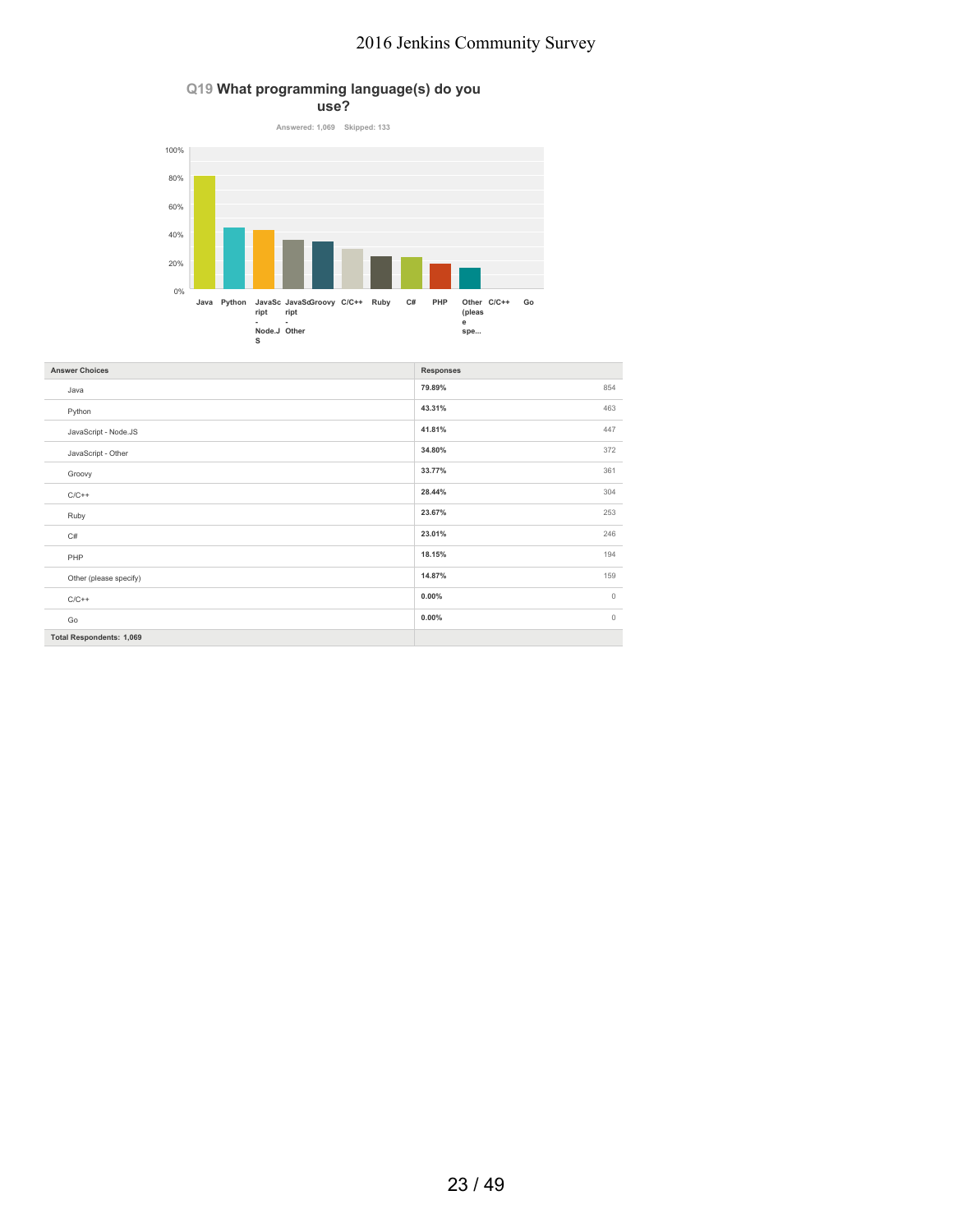### **Q19 What programming language(s) do you**



| <b>Answer Choices</b>           | <b>Responses</b>    |
|---------------------------------|---------------------|
| Java                            | 854<br>79.89%       |
| Python                          | 43.31%<br>463       |
| JavaScript - Node.JS            | 41.81%<br>447       |
| JavaScript - Other              | 372<br>34.80%       |
| Groovy                          | 361<br>33.77%       |
| $C/C++$                         | 28.44%<br>304       |
| Ruby                            | 23.67%<br>253       |
| C#                              | 246<br>23.01%       |
| PHP                             | 194<br>18.15%       |
| Other (please specify)          | 14.87%<br>159       |
| $C/C++$                         | $\circ$<br>$0.00\%$ |
| Go                              | $0.00\%$<br>$\circ$ |
| <b>Total Respondents: 1,069</b> |                     |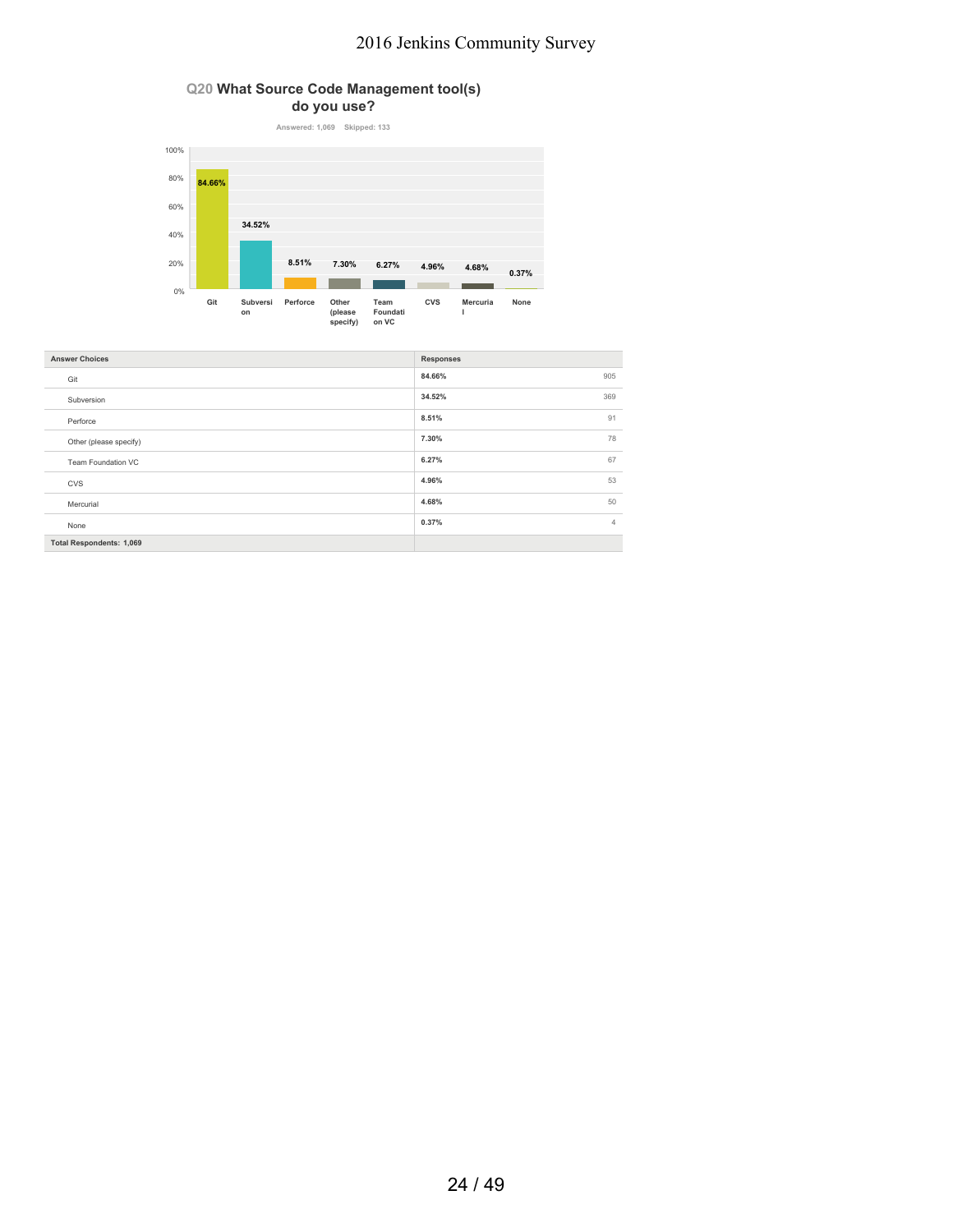### **Q20 What Source Code Management tool(s) do you use?**



| <b>Answer Choices</b>           | <b>Responses</b>        |
|---------------------------------|-------------------------|
| Git                             | 905<br>84.66%           |
| Subversion                      | 369<br>34.52%           |
| Perforce                        | 91<br>8.51%             |
| Other (please specify)          | 7.30%<br>78             |
| Team Foundation VC              | 67<br>6.27%             |
| <b>CVS</b>                      | 53<br>4.96%             |
| Mercurial                       | 4.68%<br>50             |
| None                            | 0.37%<br>$\overline{4}$ |
| <b>Total Respondents: 1,069</b> |                         |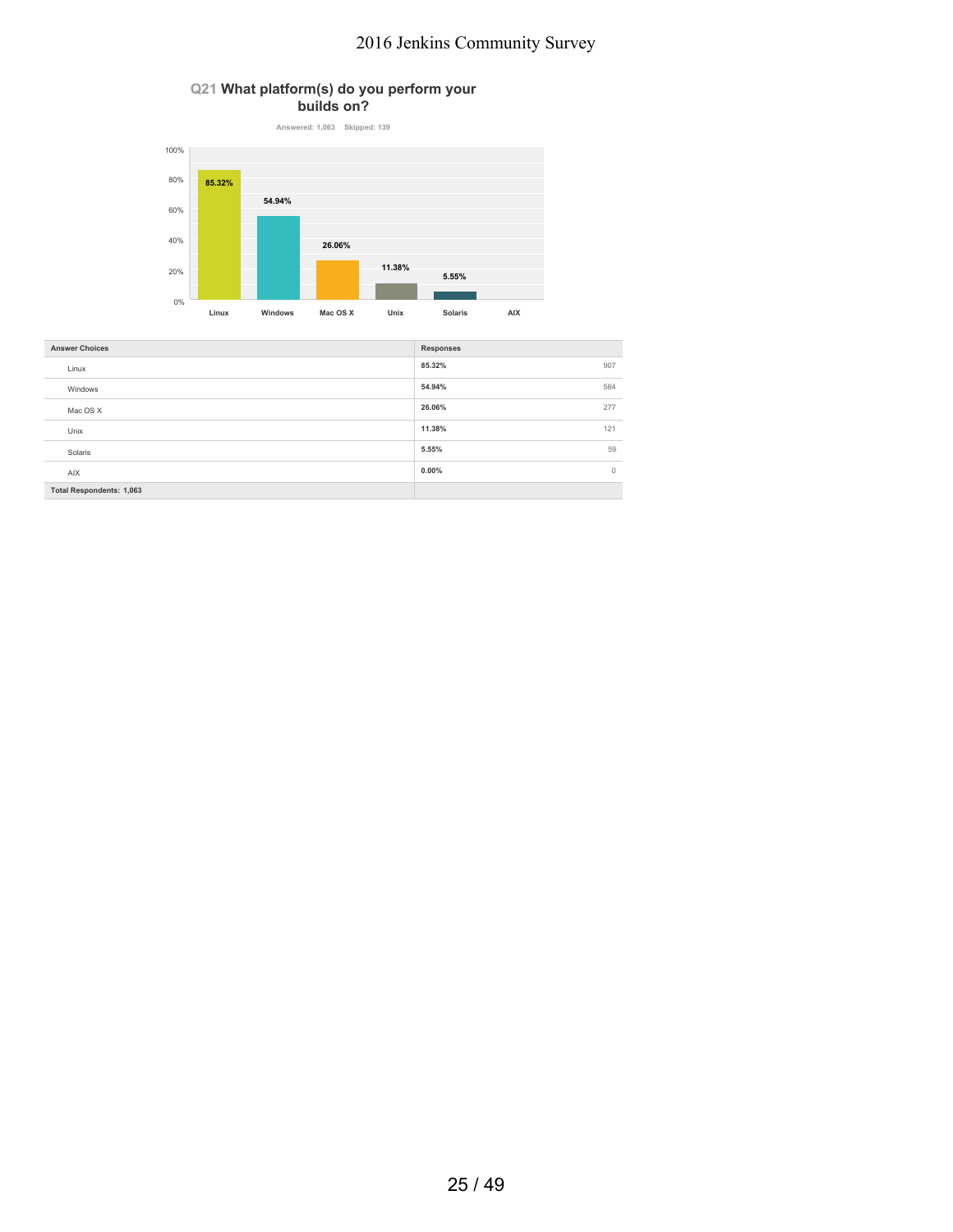### **Q21 What platform(s) do you perform your builds on?**



| <b>Answer Choices</b>           | <b>Responses</b>    |
|---------------------------------|---------------------|
| Linux                           | 85.32%<br>907       |
| Windows                         | 54.94%<br>584       |
| Mac OS X                        | 26.06%<br>277       |
| Unix                            | 11.38%<br>121       |
| Solaris                         | 59<br>5.55%         |
| <b>AIX</b>                      | $0.00\%$<br>$\circ$ |
| <b>Total Respondents: 1,063</b> |                     |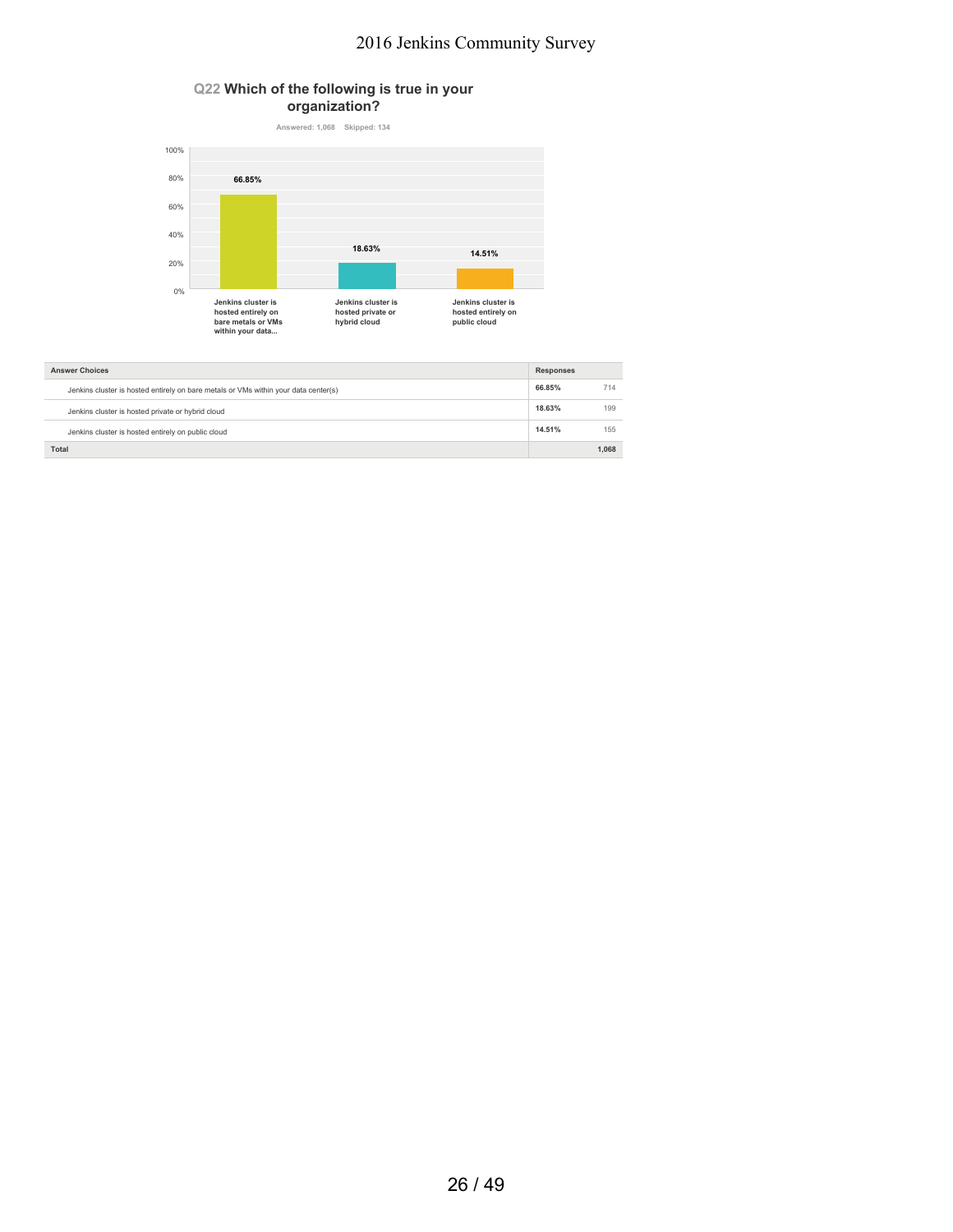### **Q22 Which of the following is true in your organization?**



| <b>Answer Choices</b>                                                               | <b>Responses</b> |       |
|-------------------------------------------------------------------------------------|------------------|-------|
| Jenkins cluster is hosted entirely on bare metals or VMs within your data center(s) | 66.85%           | 714   |
| Jenkins cluster is hosted private or hybrid cloud                                   | 18.63%           | 199   |
| Jenkins cluster is hosted entirely on public cloud                                  | 14.51%           | 155   |
| Total                                                                               |                  | 1.068 |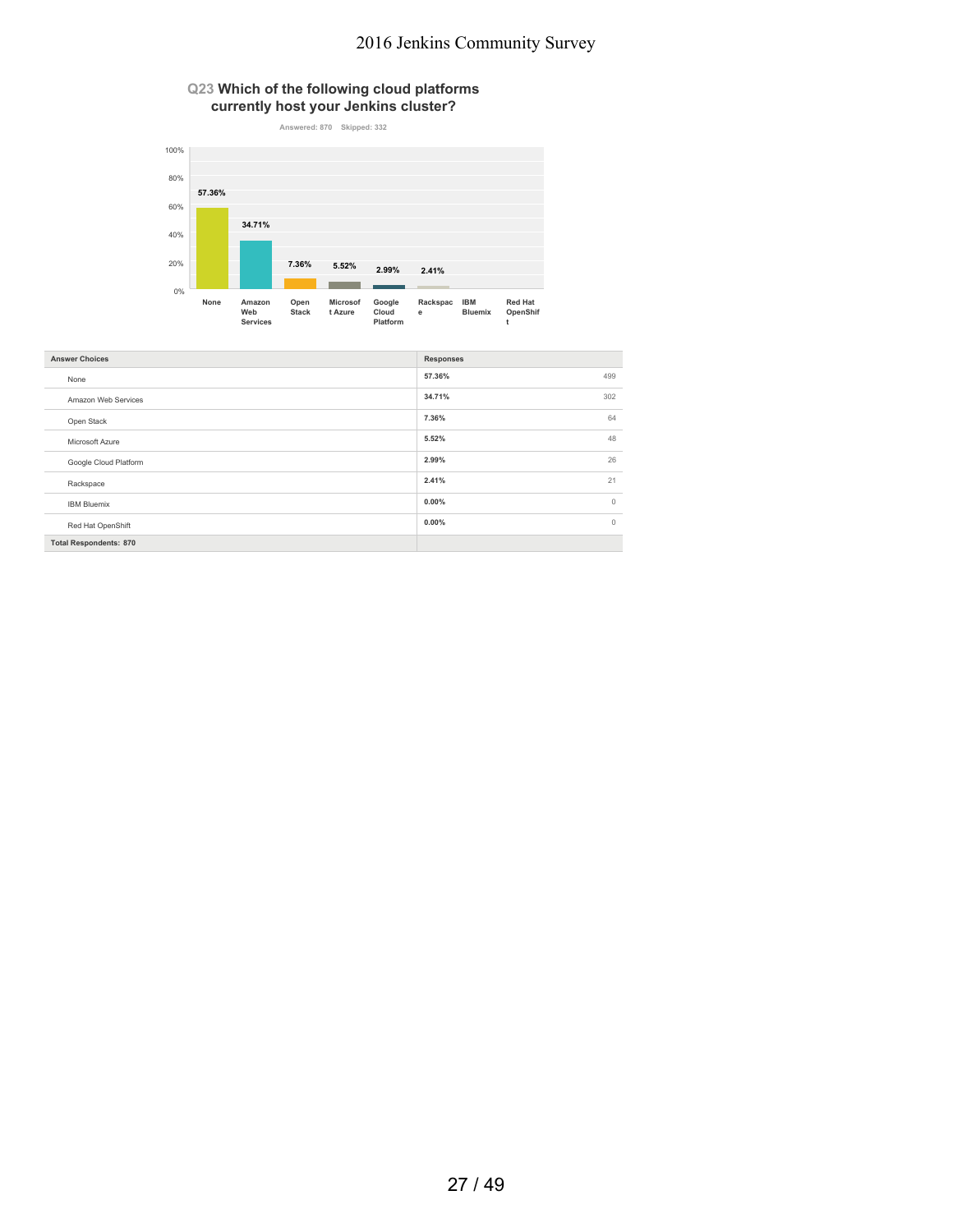### **Q23 Which of the following cloud platforms currently host your Jenkins cluster?**



| <b>Answer Choices</b>         | <b>Responses</b>    |
|-------------------------------|---------------------|
| None                          | 57.36%<br>499       |
| Amazon Web Services           | 34.71%<br>302       |
| Open Stack                    | 64<br>7.36%         |
| Microsoft Azure               | 48<br>5.52%         |
| Google Cloud Platform         | 2.99%<br>26         |
| Rackspace                     | 2.41%<br>21         |
| <b>IBM Bluemix</b>            | $\circ$<br>$0.00\%$ |
| Red Hat OpenShift             | $0.00\%$<br>$\circ$ |
| <b>Total Respondents: 870</b> |                     |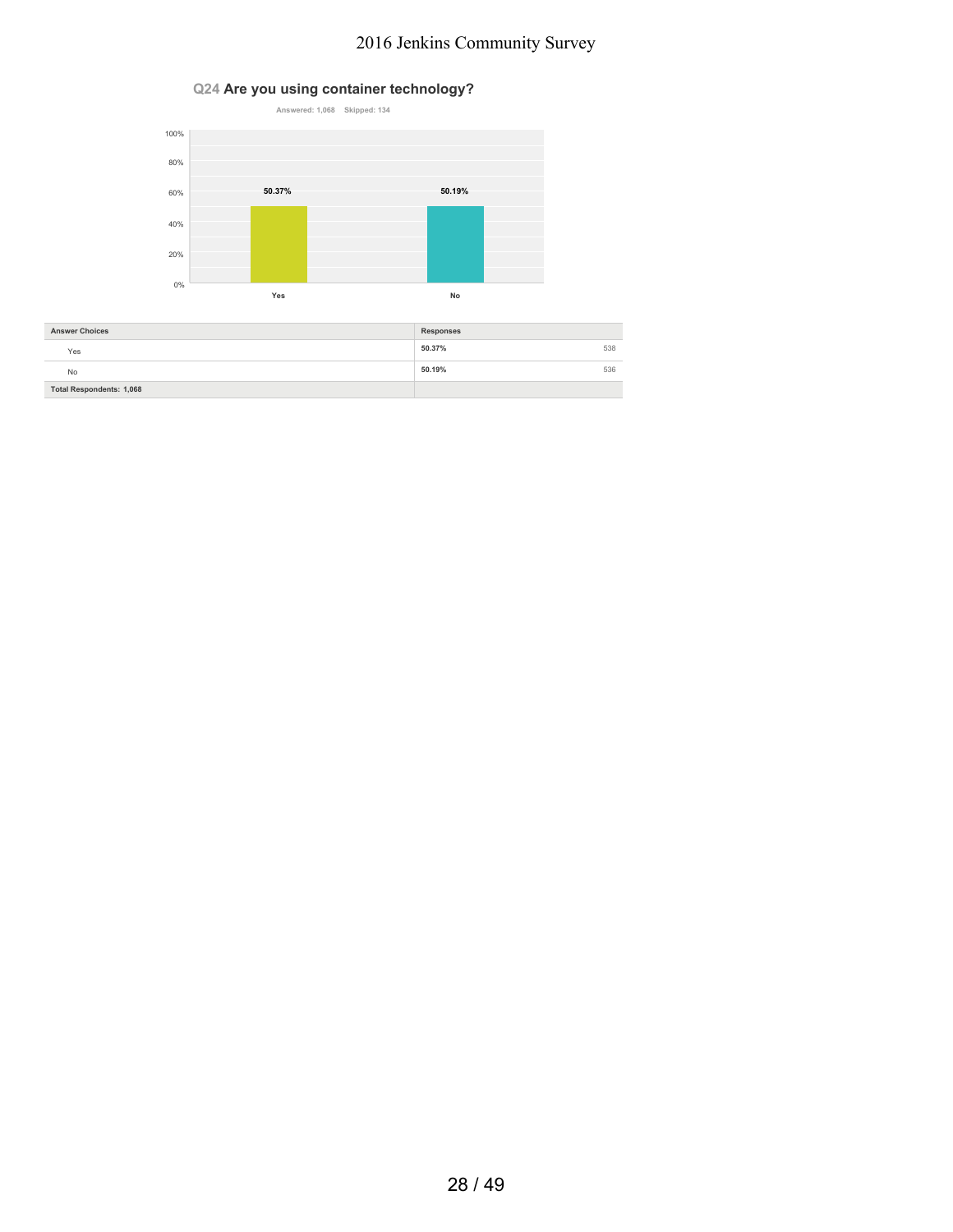### **Q24 Are you using container technology?**



| <b>Answer Choices</b>           | <b>Responses</b> |
|---------------------------------|------------------|
| Yes                             | 50.37%<br>538    |
| No                              | 50.19%<br>536    |
| <b>Total Respondents: 1,068</b> |                  |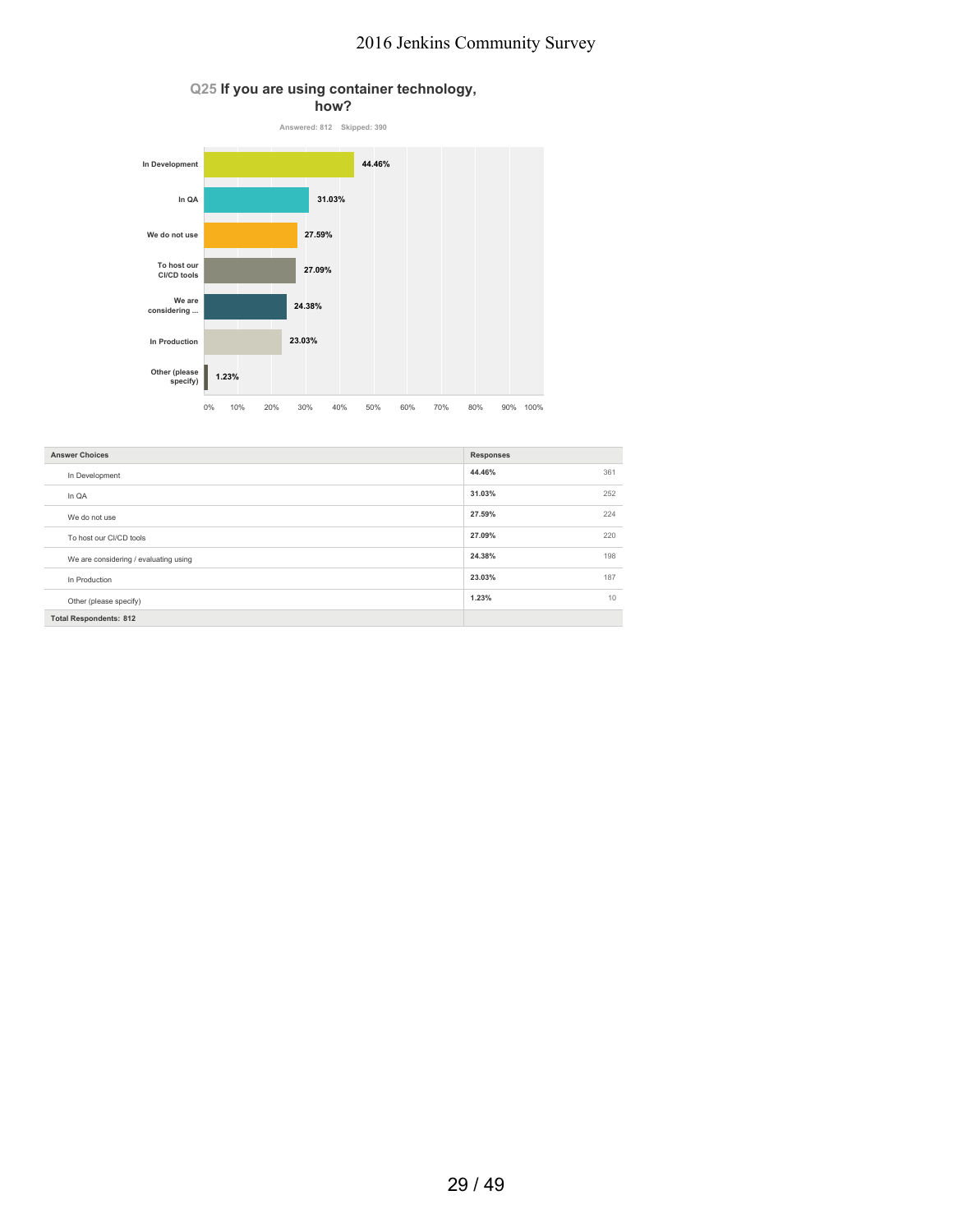### **Q25 If you are using container technology,**



| <b>Answer Choices</b>                 | <b>Responses</b> |
|---------------------------------------|------------------|
| In Development                        | 44.46%<br>361    |
| In QA                                 | 31.03%<br>252    |
| We do not use                         | 27.59%<br>224    |
| To host our CI/CD tools               | 27.09%<br>220    |
| We are considering / evaluating using | 24.38%<br>198    |
| In Production                         | 23.03%<br>187    |
| Other (please specify)                | 1.23%<br>10      |
| <b>Total Respondents: 812</b>         |                  |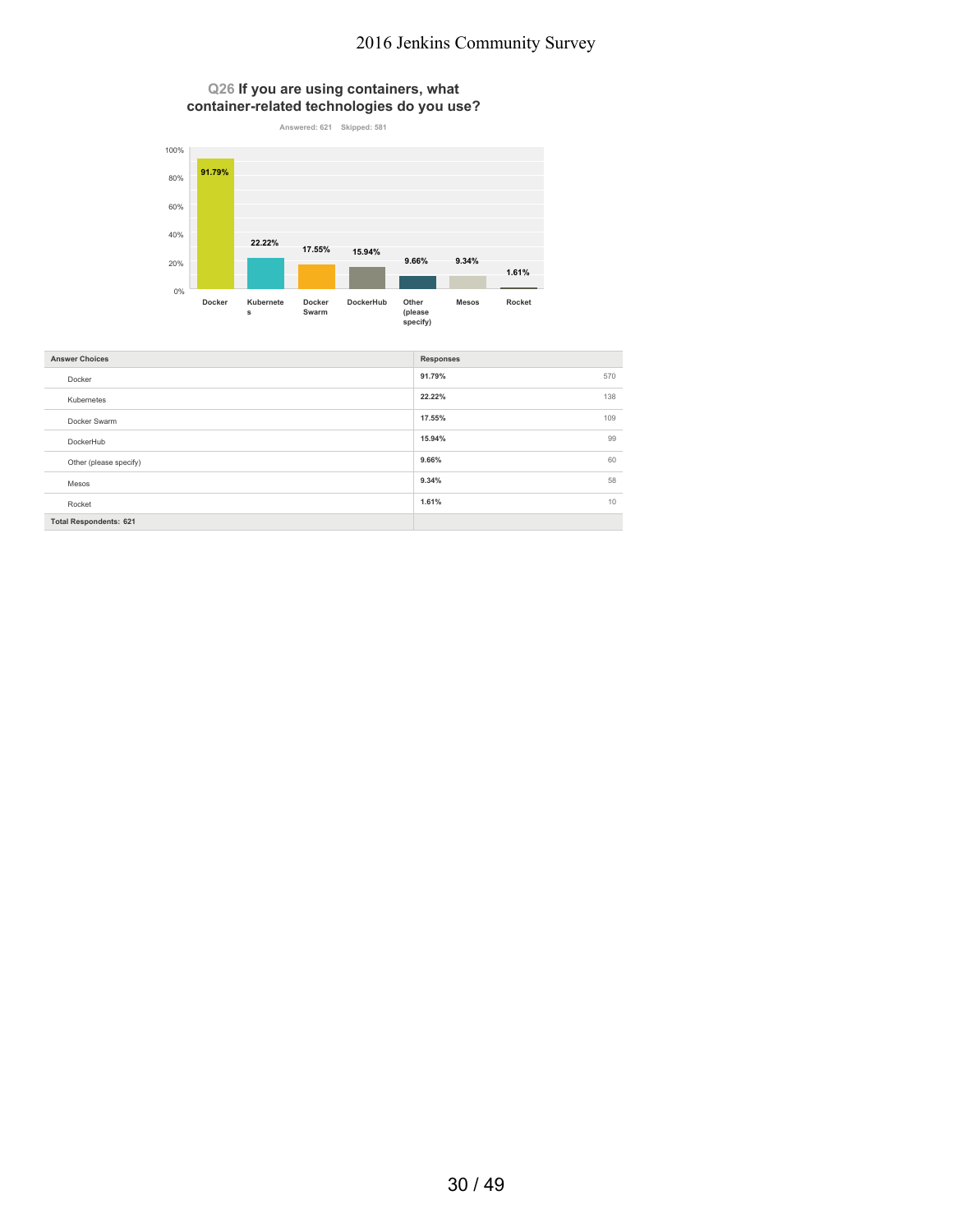**Q26 If you are using containers, what container-related technologies do you use?**



| <b>Answer Choices</b>         | <b>Responses</b> |
|-------------------------------|------------------|
| Docker                        | 91.79%<br>570    |
| Kubernetes                    | 138<br>22.22%    |
| Docker Swarm                  | 17.55%<br>109    |
| DockerHub                     | 15.94%<br>99     |
| Other (please specify)        | 60<br>9.66%      |
| Mesos                         | 58<br>9.34%      |
| Rocket                        | 1.61%<br>10      |
| <b>Total Respondents: 621</b> |                  |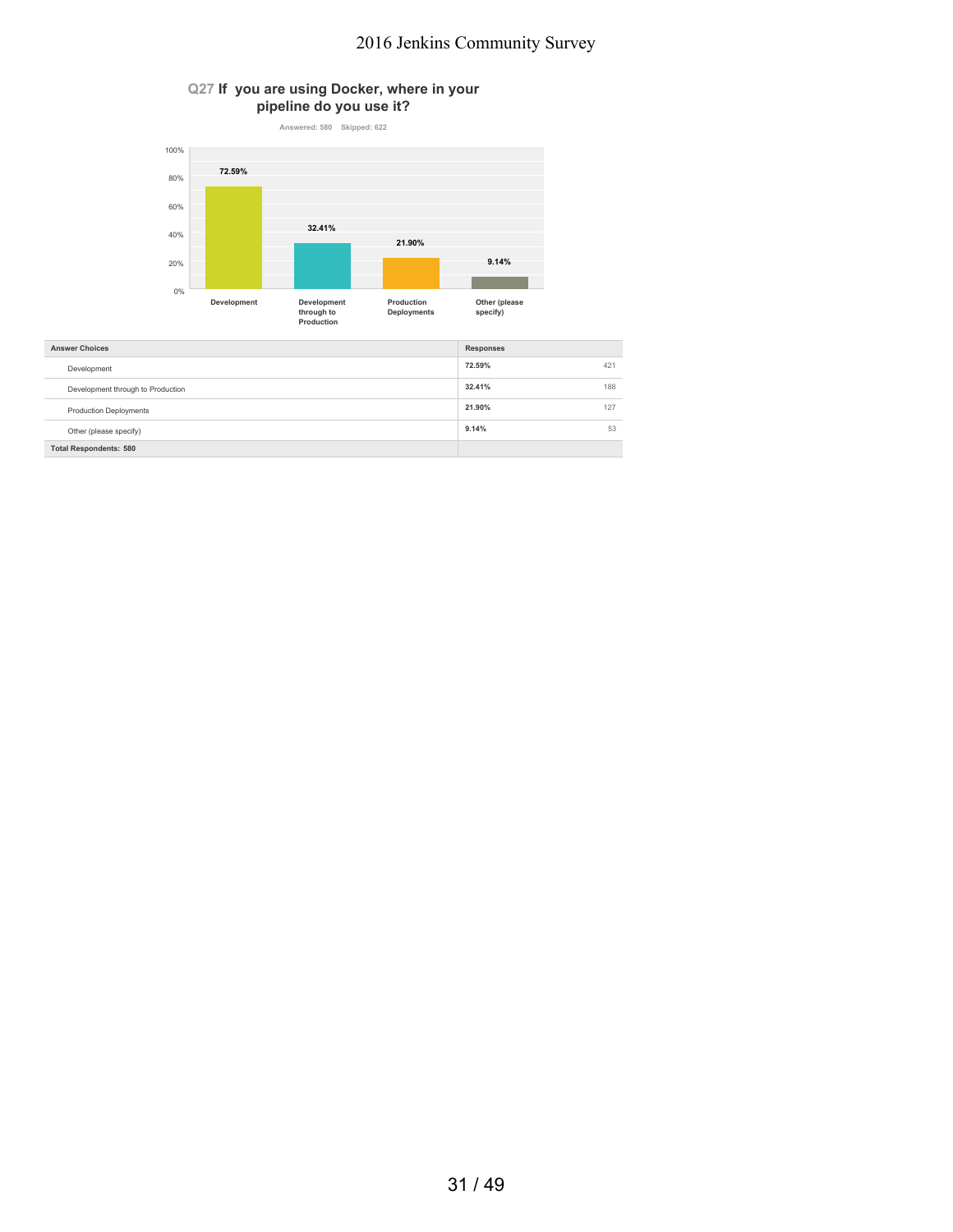### **Q27 If you are using Docker, where in your pipeline do you use it?**



| <b>Total Respondents: 580</b>     |        |     |
|-----------------------------------|--------|-----|
| Other (please specify)            | 9.14%  | 53  |
| <b>Production Deployments</b>     | 21.90% | 127 |
| Development through to Production | 32.41% | 188 |
| Development                       | 72.59% | 421 |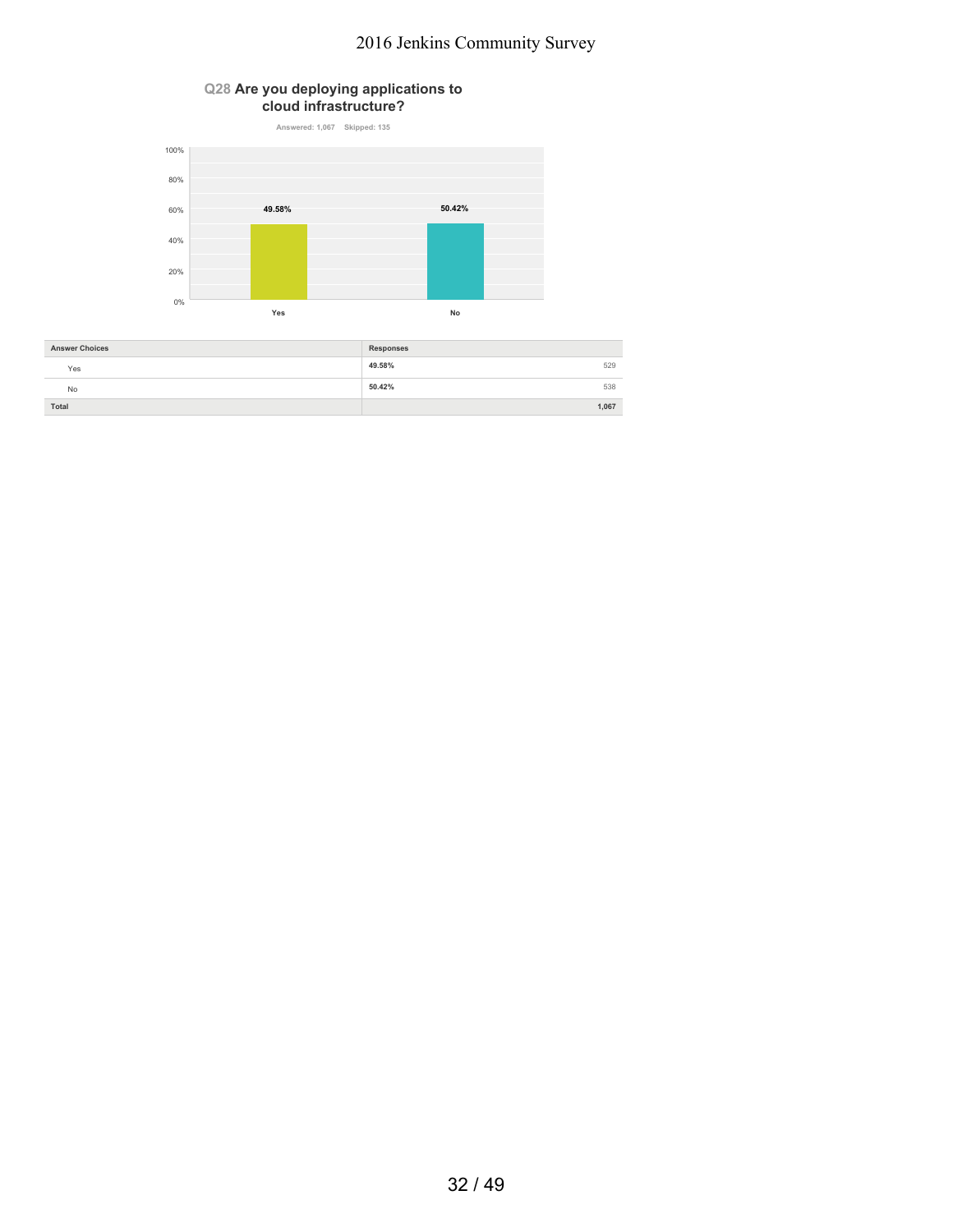### **Q28 Are you deploying applications to cloud infrastructure?**



| <b>Answer Choices</b> | <b>Responses</b> |
|-----------------------|------------------|
| Yes                   | 49.58%<br>529    |
| <b>No</b>             | 50.42%<br>538    |
| Total                 | 1,067            |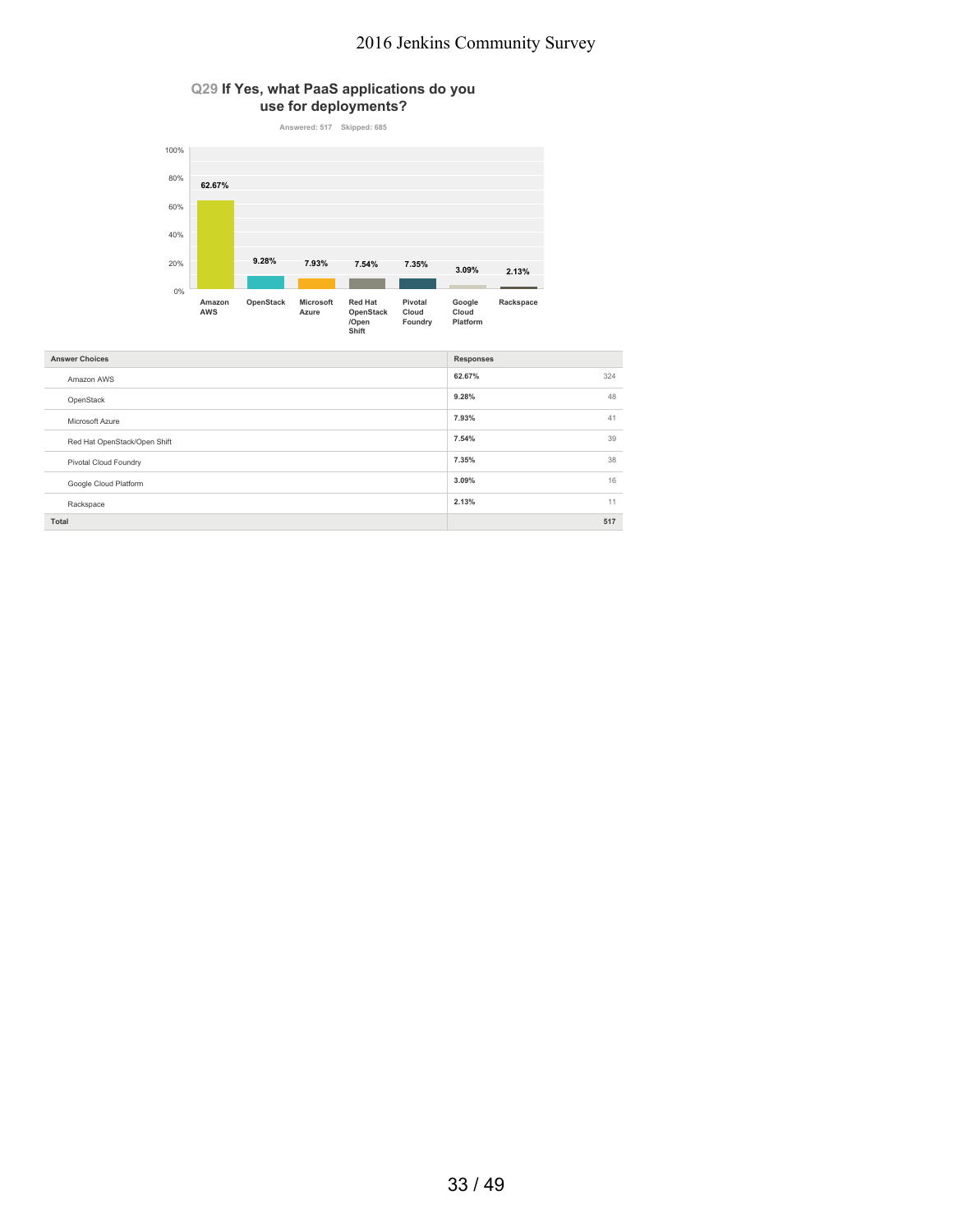### **Q29 If Yes, what PaaS applications do you use for deployments?**



| <b>Answer Choices</b>        | <b>Responses</b> |
|------------------------------|------------------|
| Amazon AWS                   | 62.67%<br>324    |
| OpenStack                    | 48<br>9.28%      |
| Microsoft Azure              | 41<br>7.93%      |
| Red Hat OpenStack/Open Shift | 7.54%<br>39      |
| Pivotal Cloud Foundry        | 7.35%<br>38      |
| Google Cloud Platform        | 16<br>3.09%      |
| Rackspace                    | 2.13%<br>11      |
| Total                        | 517              |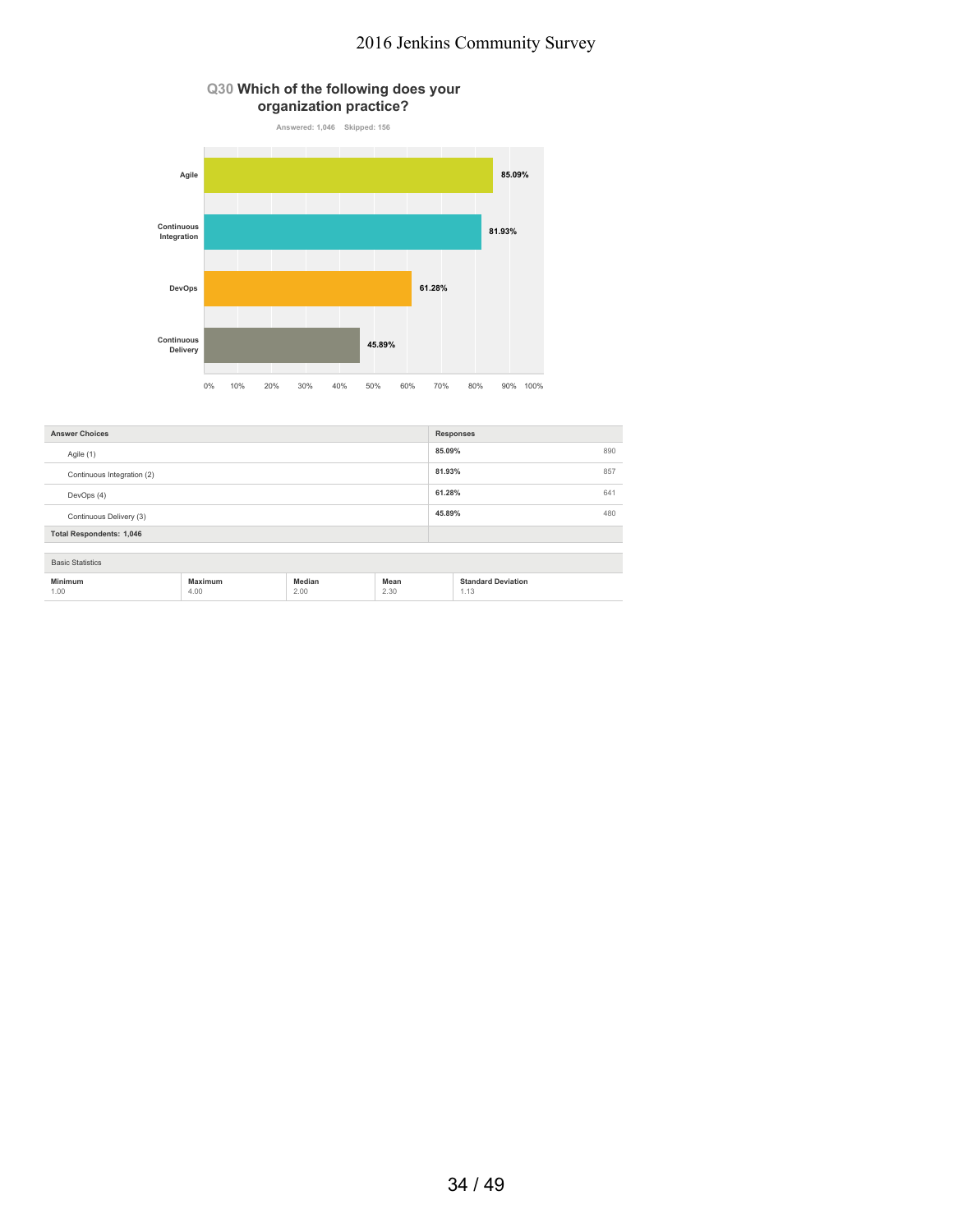

| <b>Answer Choices</b>           |                 |                |              | <b>Responses</b>                  |  |
|---------------------------------|-----------------|----------------|--------------|-----------------------------------|--|
| Agile (1)                       |                 | 85.09%         | 890          |                                   |  |
| Continuous Integration (2)      |                 | 81.93%         | 857          |                                   |  |
| DevOps (4)                      |                 | 61.28%         | 641          |                                   |  |
| Continuous Delivery (3)         |                 |                | 45.89%       | 480                               |  |
| <b>Total Respondents: 1,046</b> |                 |                |              |                                   |  |
| <b>Basic Statistics</b>         |                 |                |              |                                   |  |
|                                 |                 |                |              |                                   |  |
| <b>Minimum</b><br>1.00          | Maximum<br>4.00 | Median<br>2.00 | Mean<br>2.30 | <b>Standard Deviation</b><br>1.13 |  |

## 34 / 49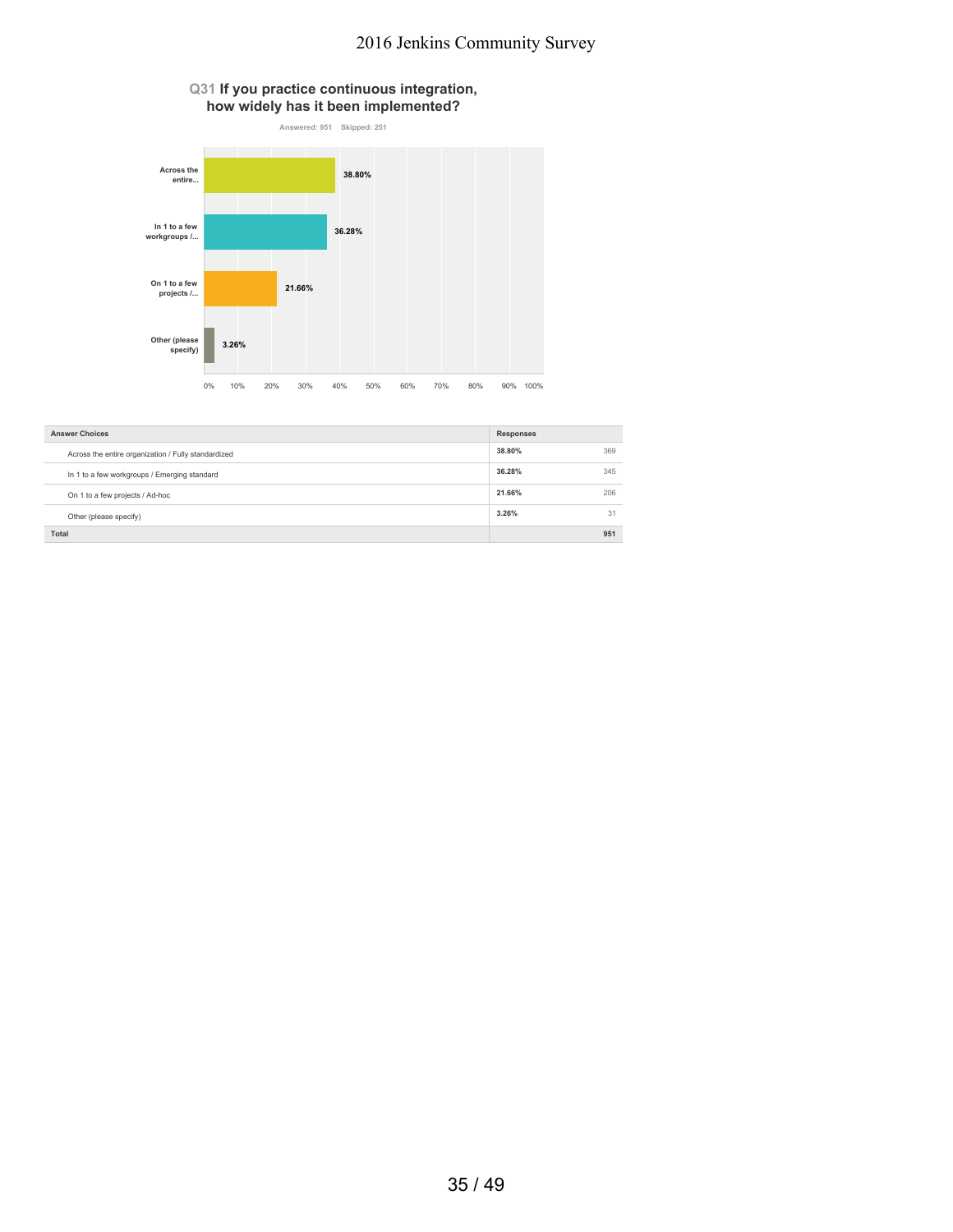### **Q31 If you practice continuous integration, how widely has it been implemented?**



| <b>Answer Choices</b>                               | <b>Responses</b> |     |
|-----------------------------------------------------|------------------|-----|
| Across the entire organization / Fully standardized | 38.80%           | 369 |
| In 1 to a few workgroups / Emerging standard        | 36.28%           | 345 |
| On 1 to a few projects / Ad-hoc                     | 21.66%           | 206 |
| Other (please specify)                              | 3.26%            | 31  |
| <b>Total</b>                                        |                  | 951 |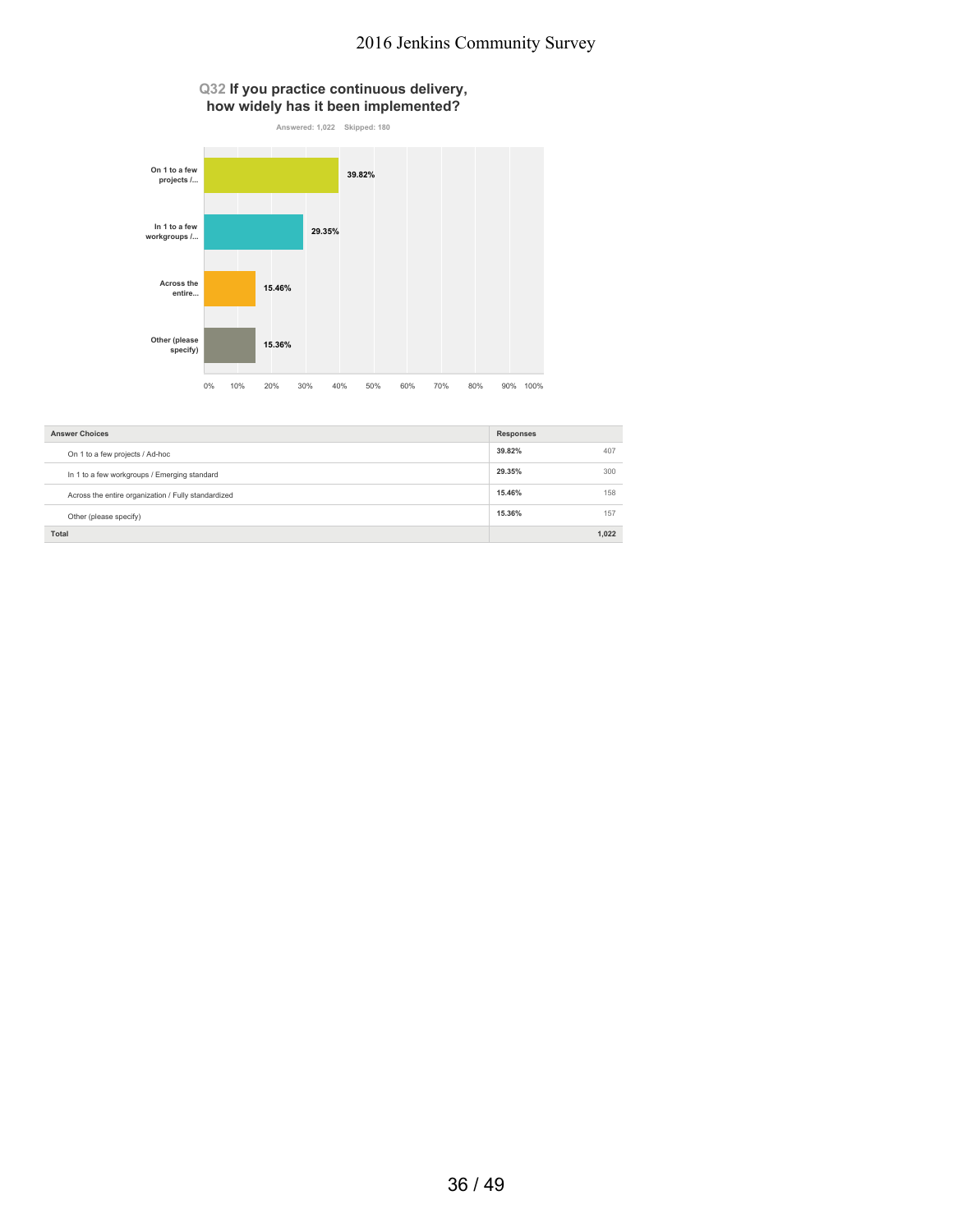#### **Q32 If you practice continuous delivery, how widely has it been implemented?**



| <b>Answer Choices</b>                               | <b>Responses</b> |       |
|-----------------------------------------------------|------------------|-------|
| On 1 to a few projects / Ad-hoc                     | 39.82%           | 407   |
| In 1 to a few workgroups / Emerging standard        | 29.35%           | 300   |
| Across the entire organization / Fully standardized | 15.46%           | 158   |
| Other (please specify)                              | 15.36%           | 157   |
| Total                                               |                  | 1.022 |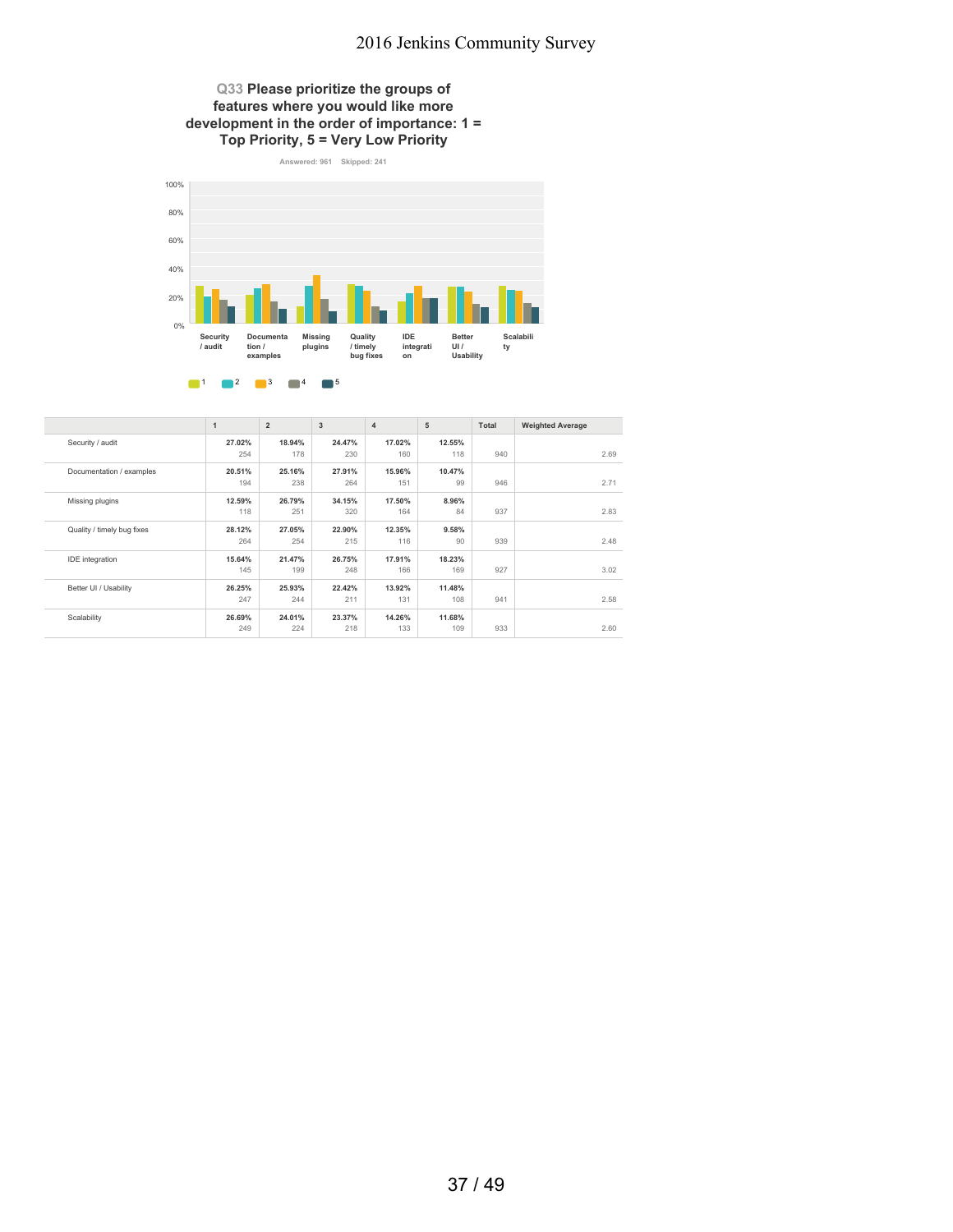### **Q33 Please prioritize the groups of features where you would like more development in the order of importance: 1 = Top Priority, 5 = Very Low Priority**



|                            | $\mathbf{1}$ | $\overline{2}$ | 3      | $\overline{4}$ | 5      | Total | <b>Weighted Average</b> |
|----------------------------|--------------|----------------|--------|----------------|--------|-------|-------------------------|
| Security / audit           | 27.02%       | 18.94%         | 24.47% | 17.02%         | 12.55% |       |                         |
|                            | 254          | 178            | 230    | 160            | 118    | 940   | 2.69                    |
| Documentation / examples   | 20.51%       | 25.16%         | 27.91% | 15.96%         | 10.47% |       |                         |
|                            | 194          | 238            | 264    | 151            | 99     | 946   | 2.71                    |
| Missing plugins            | 12.59%       | 26.79%         | 34.15% | 17.50%         | 8.96%  |       |                         |
|                            | 118          | 251            | 320    | 164            | 84     | 937   | 2.83                    |
| Quality / timely bug fixes | 28.12%       | 27.05%         | 22.90% | 12.35%         | 9.58%  |       |                         |
|                            | 264          | 254            | 215    | 116            | 90     | 939   | 2.48                    |
| <b>IDE</b> integration     | 15.64%       | 21.47%         | 26.75% | 17.91%         | 18.23% |       |                         |
|                            | 145          | 199            | 248    | 166            | 169    | 927   | 3.02                    |
| Better UI / Usability      | 26.25%       | 25.93%         | 22.42% | 13.92%         | 11.48% |       |                         |
|                            | 247          | 244            | 211    | 131            | 108    | 941   | 2.58                    |
| Scalability                | 26.69%       | 24.01%         | 23.37% | 14.26%         | 11.68% |       |                         |
|                            | 249          | 224            | 218    | 133            | 109    | 933   | 2.60                    |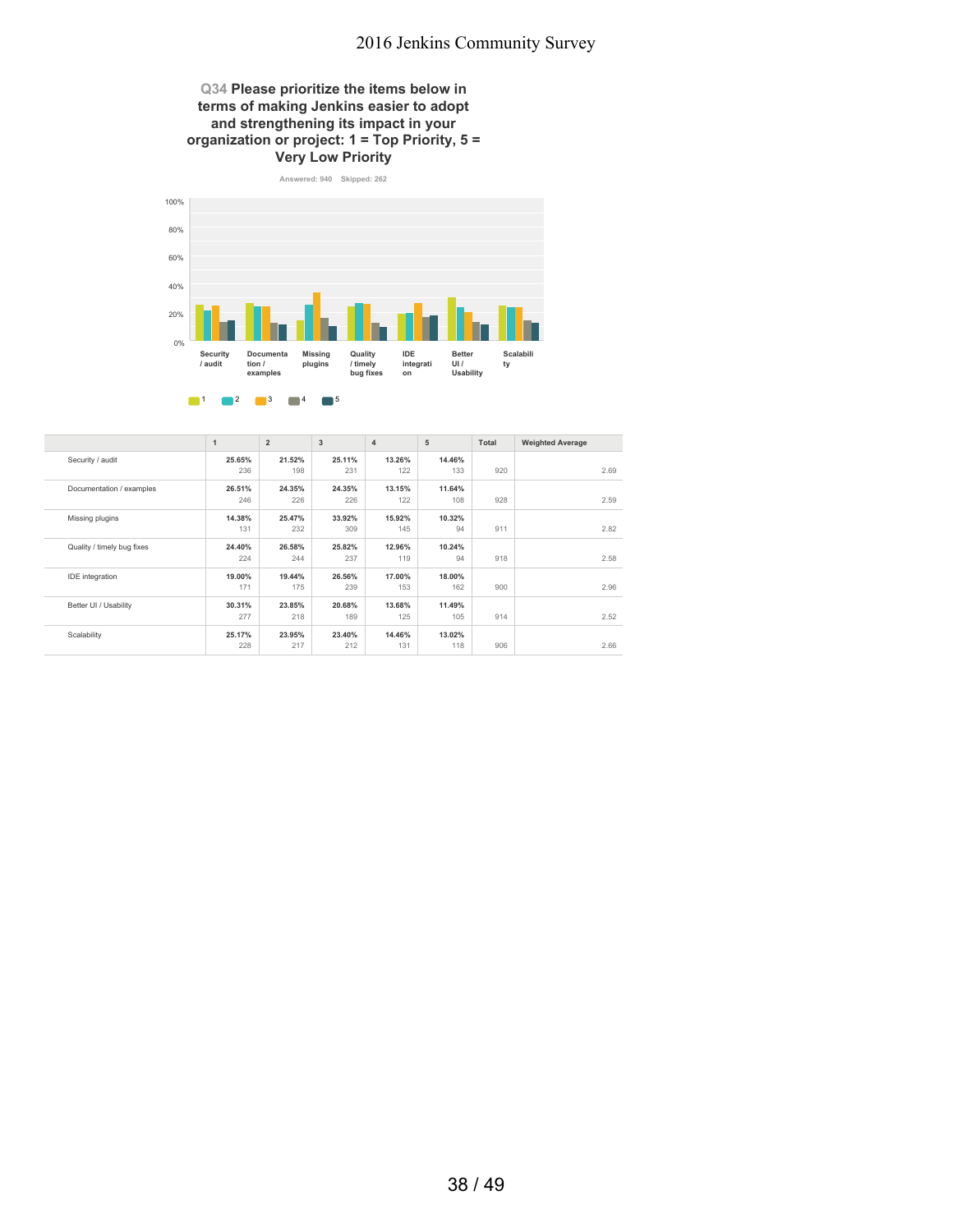### **Q34 Please prioritize the items below in terms of making Jenkins easier to adopt and strengthening its impact in your organization or project: 1 = Top Priority, 5 = Very Low Priority**



|                            | $\mathbf{1}$ | $\overline{2}$ | 3      | $\overline{4}$ | 5      | Total | <b>Weighted Average</b> |
|----------------------------|--------------|----------------|--------|----------------|--------|-------|-------------------------|
| Security / audit           | 25.65%       | 21.52%         | 25.11% | 13.26%         | 14.46% |       |                         |
|                            | 236          | 198            | 231    | 122            | 133    | 920   | 2.69                    |
| Documentation / examples   | 26.51%       | 24.35%         | 24.35% | 13.15%         | 11.64% |       |                         |
|                            | 246          | 226            | 226    | 122            | 108    | 928   | 2.59                    |
| Missing plugins            | 14.38%       | 25.47%         | 33.92% | 15.92%         | 10.32% |       |                         |
|                            | 131          | 232            | 309    | 145            | 94     | 911   | 2.82                    |
| Quality / timely bug fixes | 24.40%       | 26.58%         | 25.82% | 12.96%         | 10.24% |       |                         |
|                            | 224          | 244            | 237    | 119            | 94     | 918   | 2.58                    |
| <b>IDE</b> integration     | 19.00%       | 19.44%         | 26.56% | 17.00%         | 18.00% |       |                         |
|                            | 171          | 175            | 239    | 153            | 162    | 900   | 2.96                    |
| Better UI / Usability      | 30.31%       | 23.85%         | 20.68% | 13.68%         | 11.49% |       |                         |
|                            | 277          | 218            | 189    | 125            | 105    | 914   | 2.52                    |
| Scalability                | 25.17%       | 23.95%         | 23.40% | 14.46%         | 13.02% |       |                         |
|                            | 228          | 217            | 212    | 131            | 118    | 906   | 2.66                    |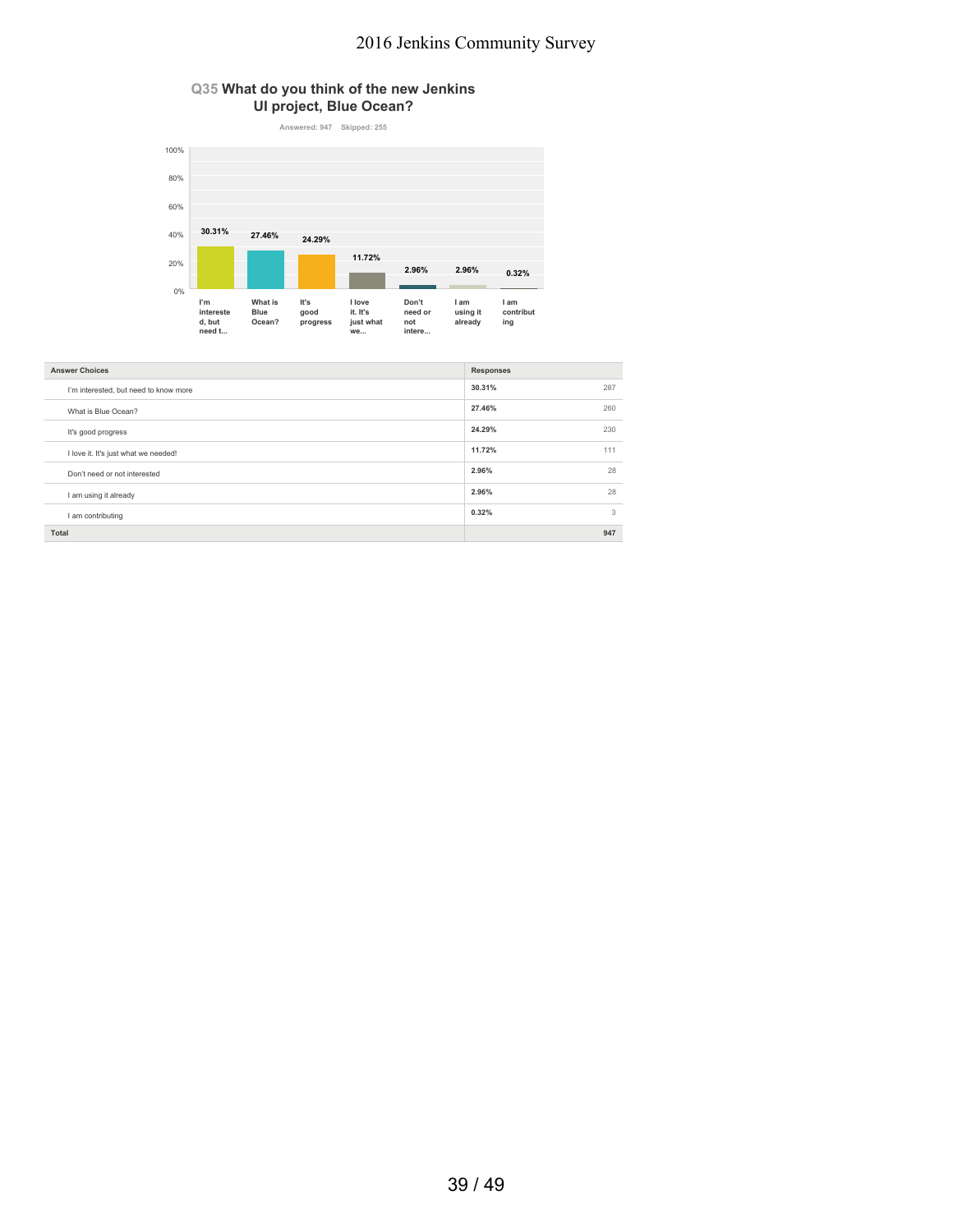### **Q35 What do you think of the new Jenkins UI project, Blue Ocean?**



| <b>Answer Choices</b>                 | <b>Responses</b> |     |
|---------------------------------------|------------------|-----|
| I'm interested, but need to know more | 30.31%           | 287 |
| What is Blue Ocean?                   | 27.46%           | 260 |
| It's good progress                    | 24.29%           | 230 |
| I love it. It's just what we needed!  | 11.72%           | 111 |
| Don't need or not interested          | 2.96%            | 28  |
| I am using it already                 | 2.96%            | 28  |
| I am contributing                     | 0.32%            | 3   |
| Total                                 |                  | 947 |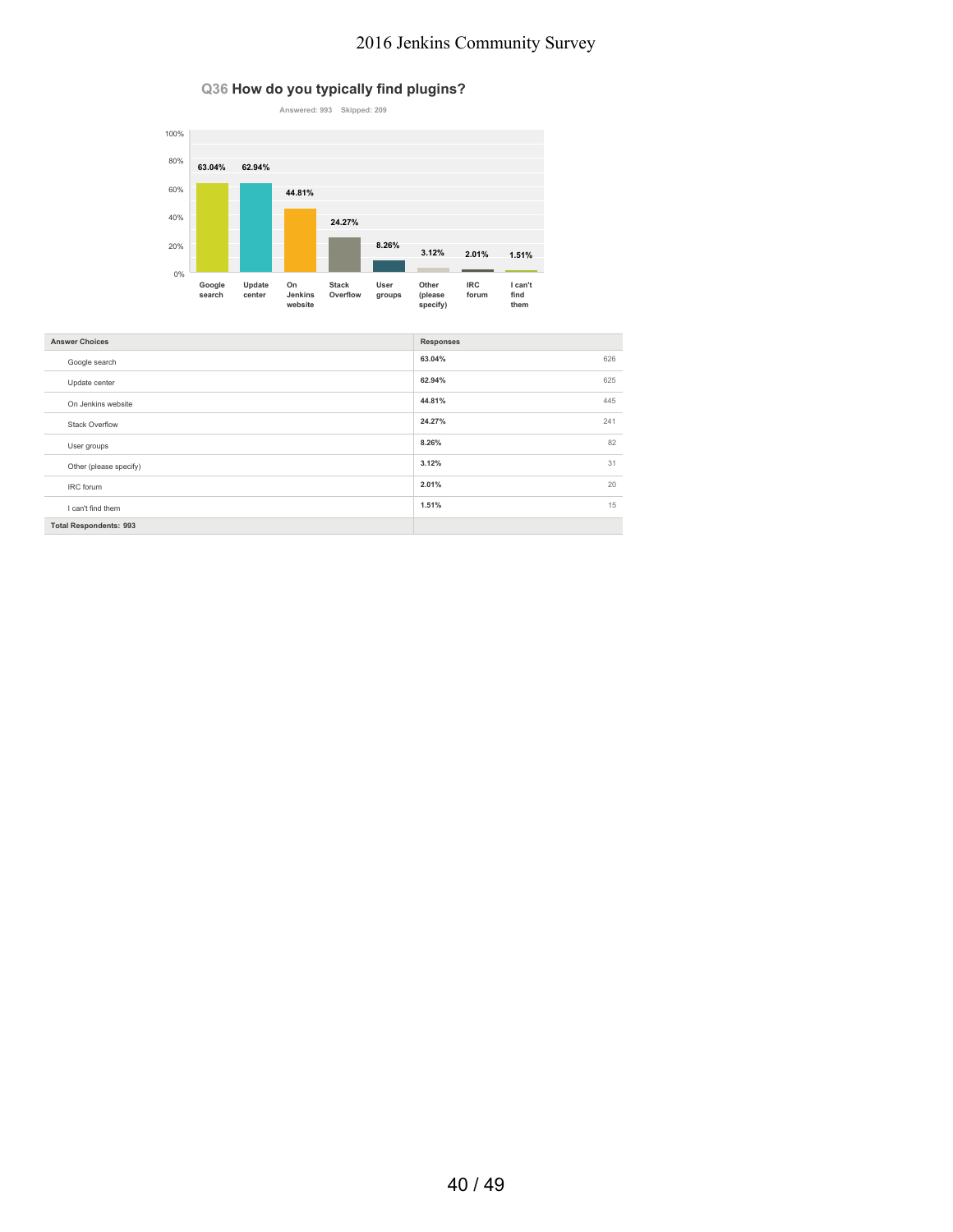### **Q36 How do you typically find plugins?**



| <b>Answer Choices</b>         | <b>Responses</b> |
|-------------------------------|------------------|
| Google search                 | 63.04%<br>626    |
| Update center                 | 625<br>62.94%    |
| On Jenkins website            | 445<br>44.81%    |
| <b>Stack Overflow</b>         | 24.27%<br>241    |
| User groups                   | 82<br>8.26%      |
| Other (please specify)        | 31<br>3.12%      |
| IRC forum                     | 2.01%<br>20      |
| I can't find them             | 15<br>1.51%      |
| <b>Total Respondents: 993</b> |                  |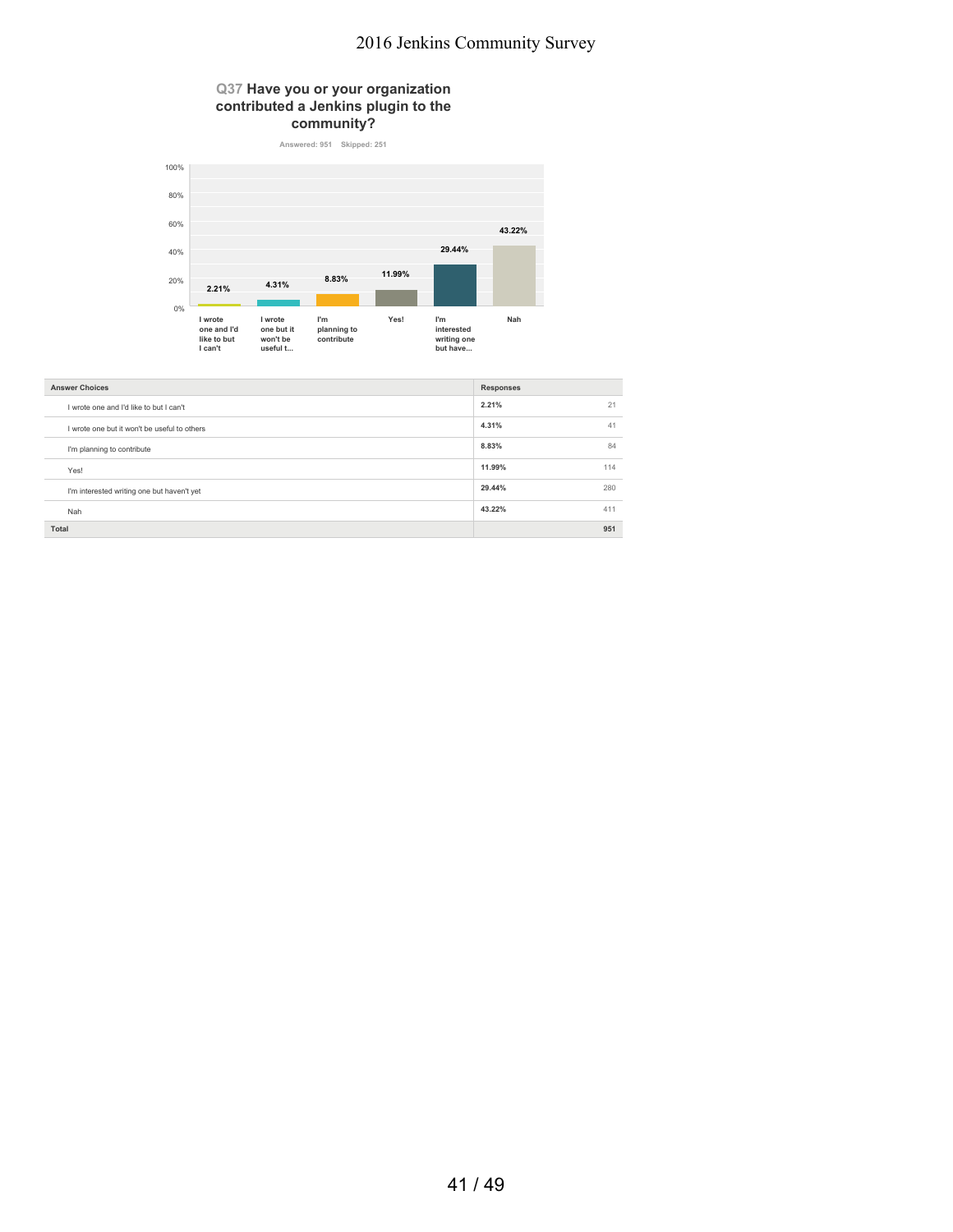#### **Q37 Have you or your organization contributed a Jenkins plugin to the community?**



| <b>Answer Choices</b>                        | <b>Responses</b> |
|----------------------------------------------|------------------|
| I wrote one and I'd like to but I can't      | 2.21%<br>21      |
| I wrote one but it won't be useful to others | 4.31%<br>41      |
| I'm planning to contribute                   | 84<br>8.83%      |
| Yes!                                         | 114<br>11.99%    |
| I'm interested writing one but haven't yet   | 29.44%<br>280    |
| Nah                                          | 43.22%<br>411    |
| Total                                        | 951              |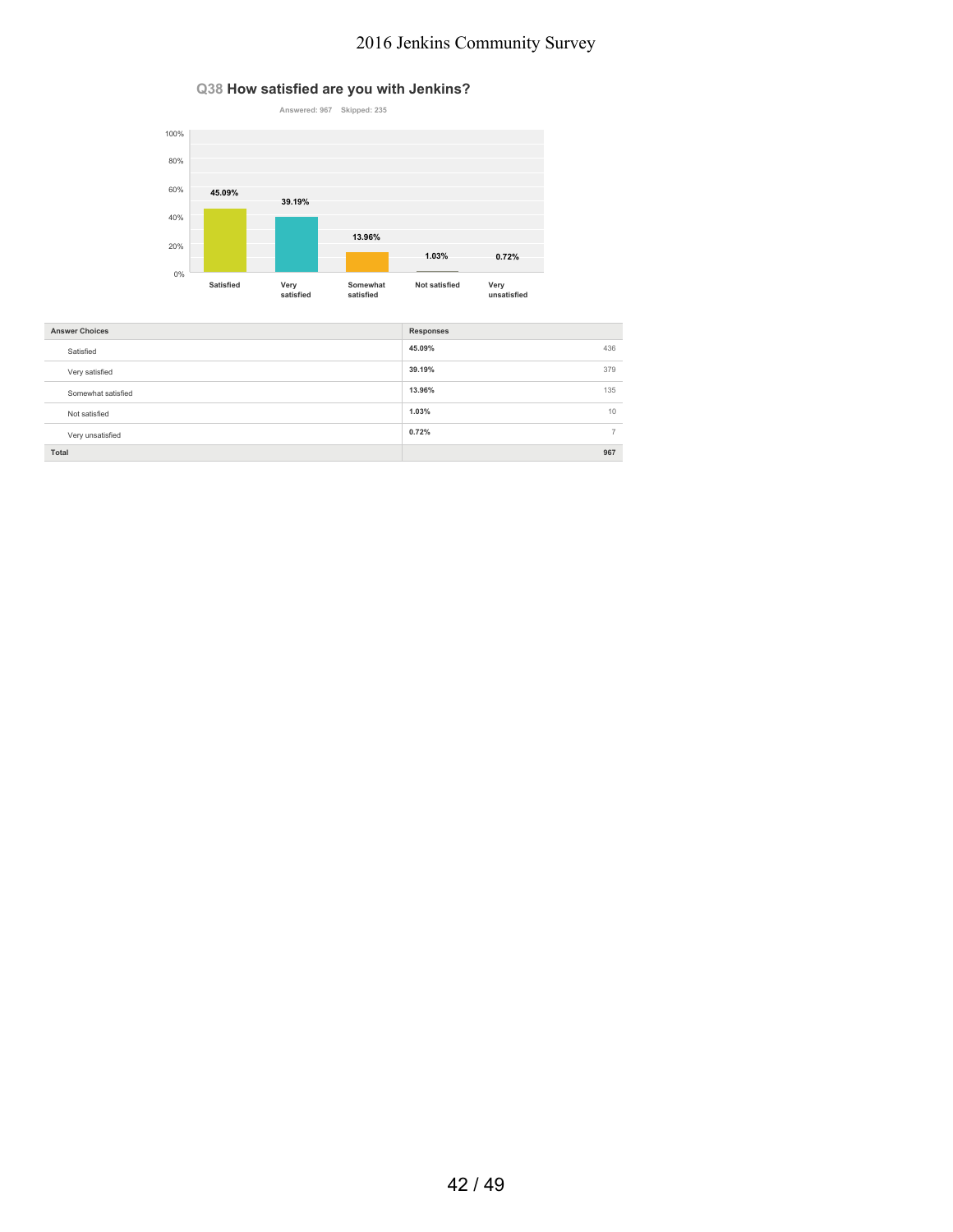### **Q38 How satisfied are you with Jenkins?**



| <b>Answer Choices</b> | <b>Responses</b>     |
|-----------------------|----------------------|
| Satisfied             | 45.09%<br>436        |
| Very satisfied        | 39.19%<br>379        |
| Somewhat satisfied    | 135<br>13.96%        |
| Not satisfied         | 10<br>1.03%          |
| Very unsatisfied      | 0.72%<br>$7^{\circ}$ |
| Total                 | 967                  |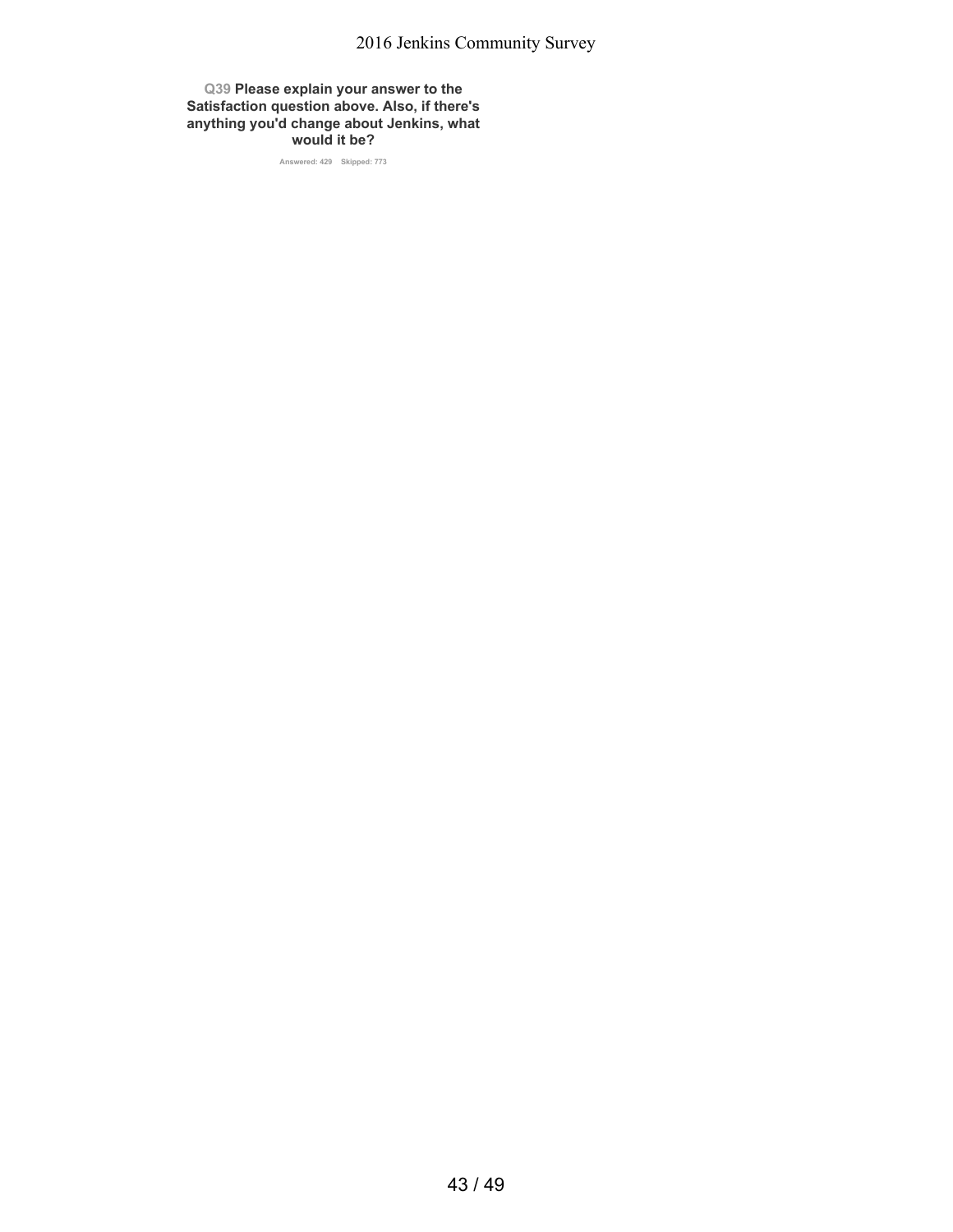**Q39 Please explain your answer to the Satisfaction question above. Also, if there's anything you'd change about Jenkins, what would it be?**

**Answered: 429 Skipped: 773**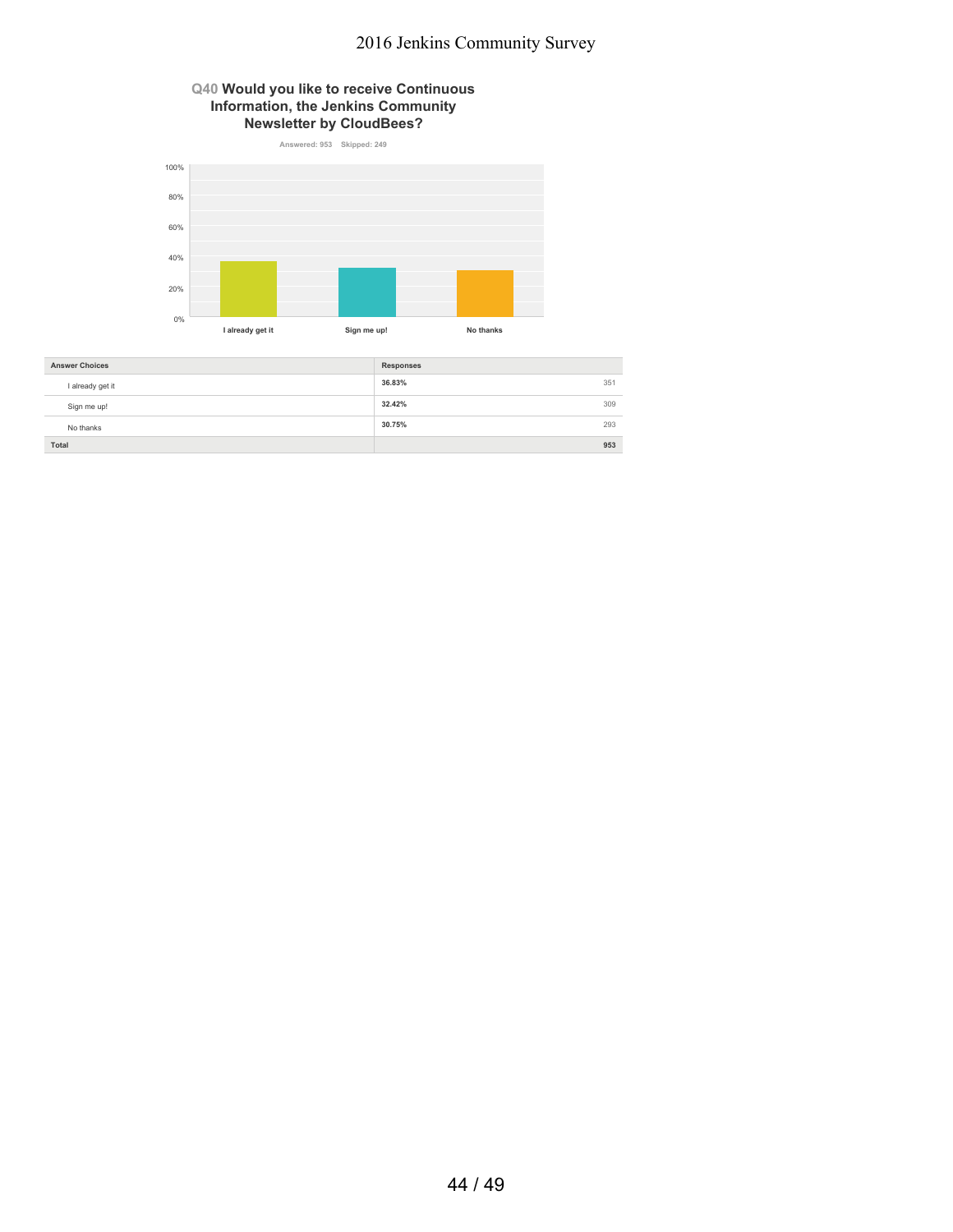### **Q40 Would you like to receive Continuous Information, the Jenkins Community Newsletter by CloudBees?**



| <b>Answer Choices</b> | <b>Responses</b> |  |
|-----------------------|------------------|--|
| I already get it      | 36.83%<br>351    |  |
| Sign me up!           | 32.42%<br>309    |  |
| No thanks             | 30.75%<br>293    |  |
| Total                 | 953              |  |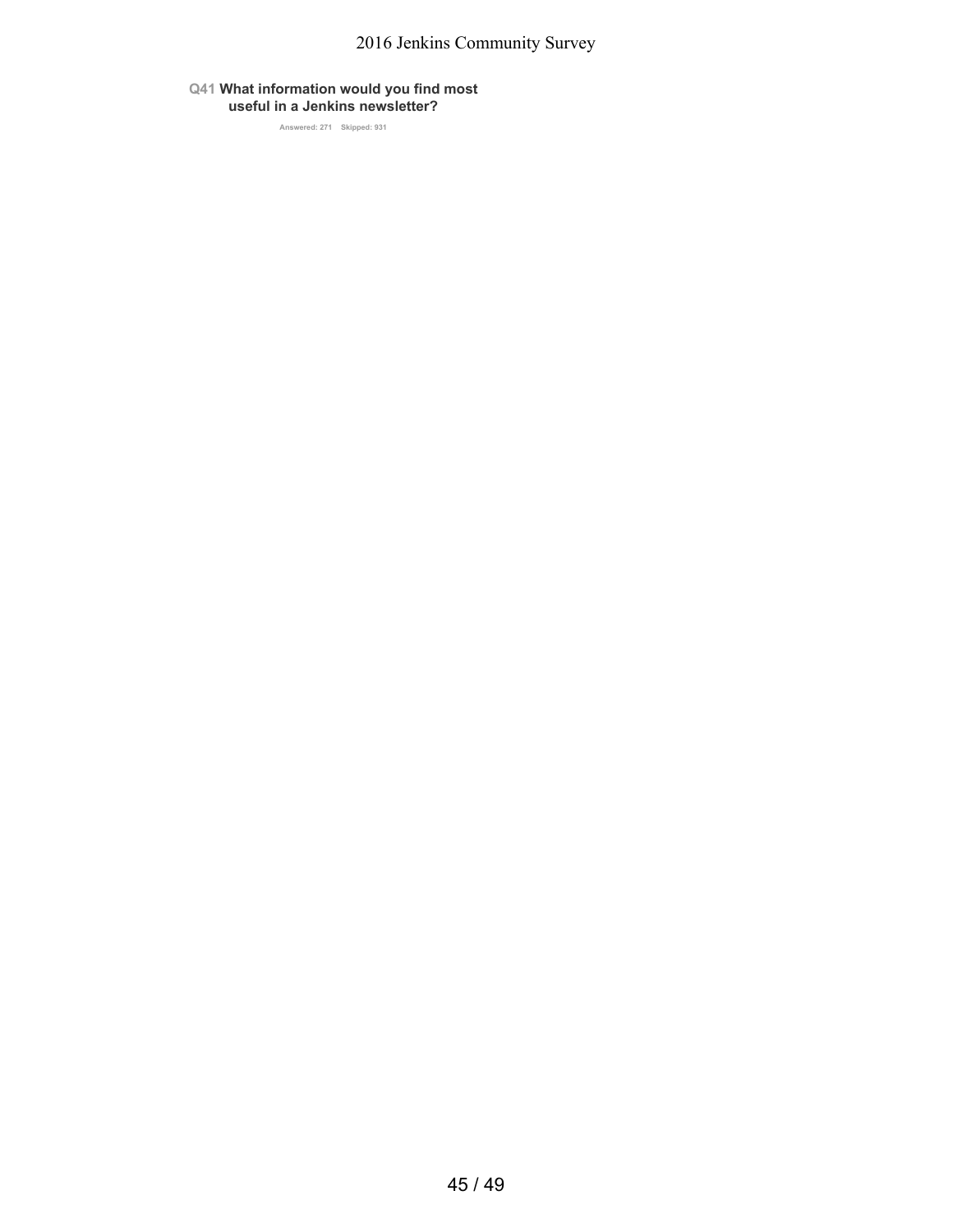### **Q41 What information would you find most useful in a Jenkins newsletter?**

**Answered: 271 Skipped: 931**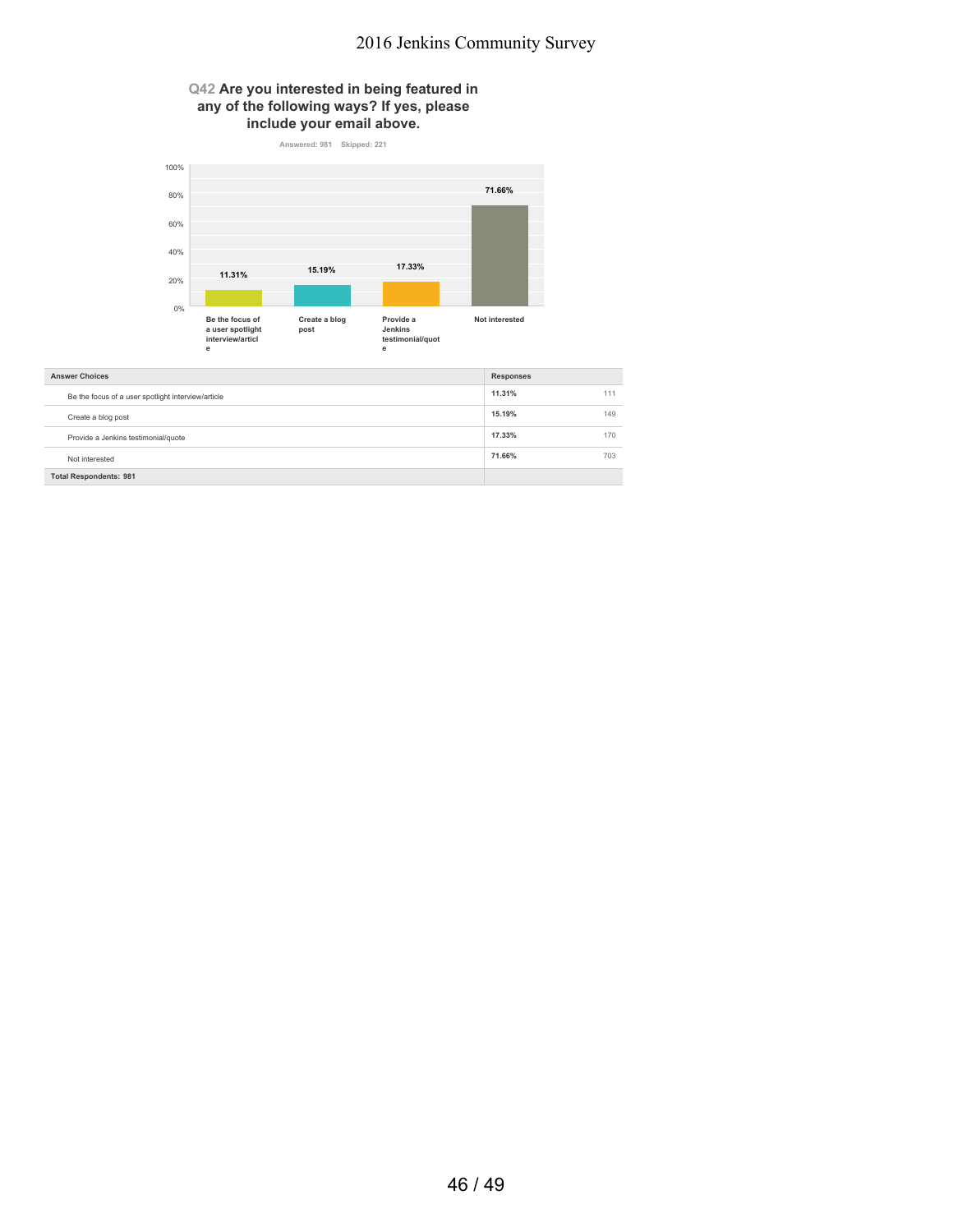### **Q42 Are you interested in being featured in any of the following ways? If yes, please include your email above.**



| <b>Answer Choices</b>                              | <b>Responses</b> |     |
|----------------------------------------------------|------------------|-----|
| Be the focus of a user spotlight interview/article | 11.31%           | 111 |
| Create a blog post                                 | 15.19%           | 149 |
| Provide a Jenkins testimonial/quote                | 17.33%           | 170 |
| Not interested                                     | 71.66%           | 703 |
| <b>Total Respondents: 981</b>                      |                  |     |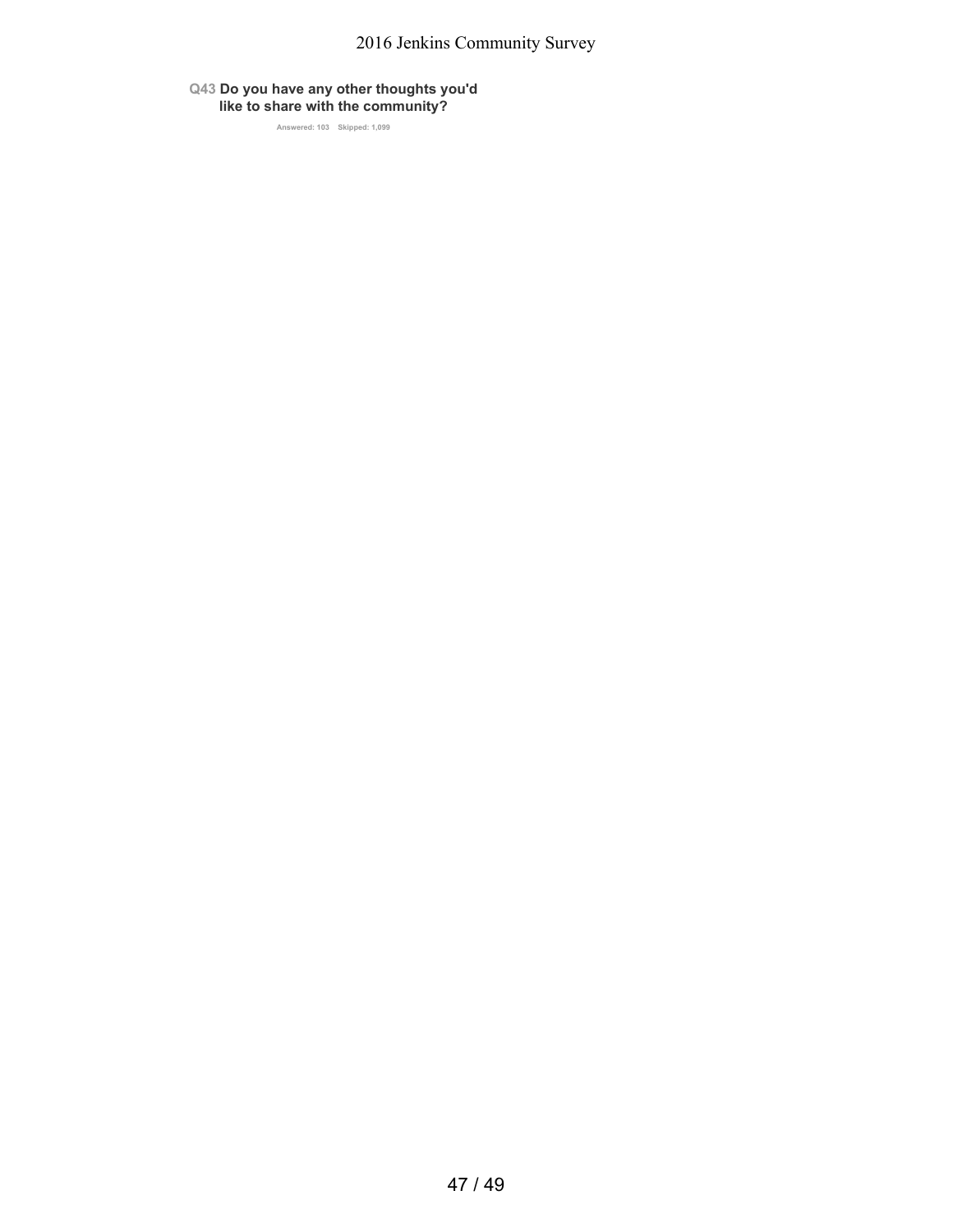### **Q43 Do you have any other thoughts you'd like to share with the community?**

**Answered: 103 Skipped: 1,099**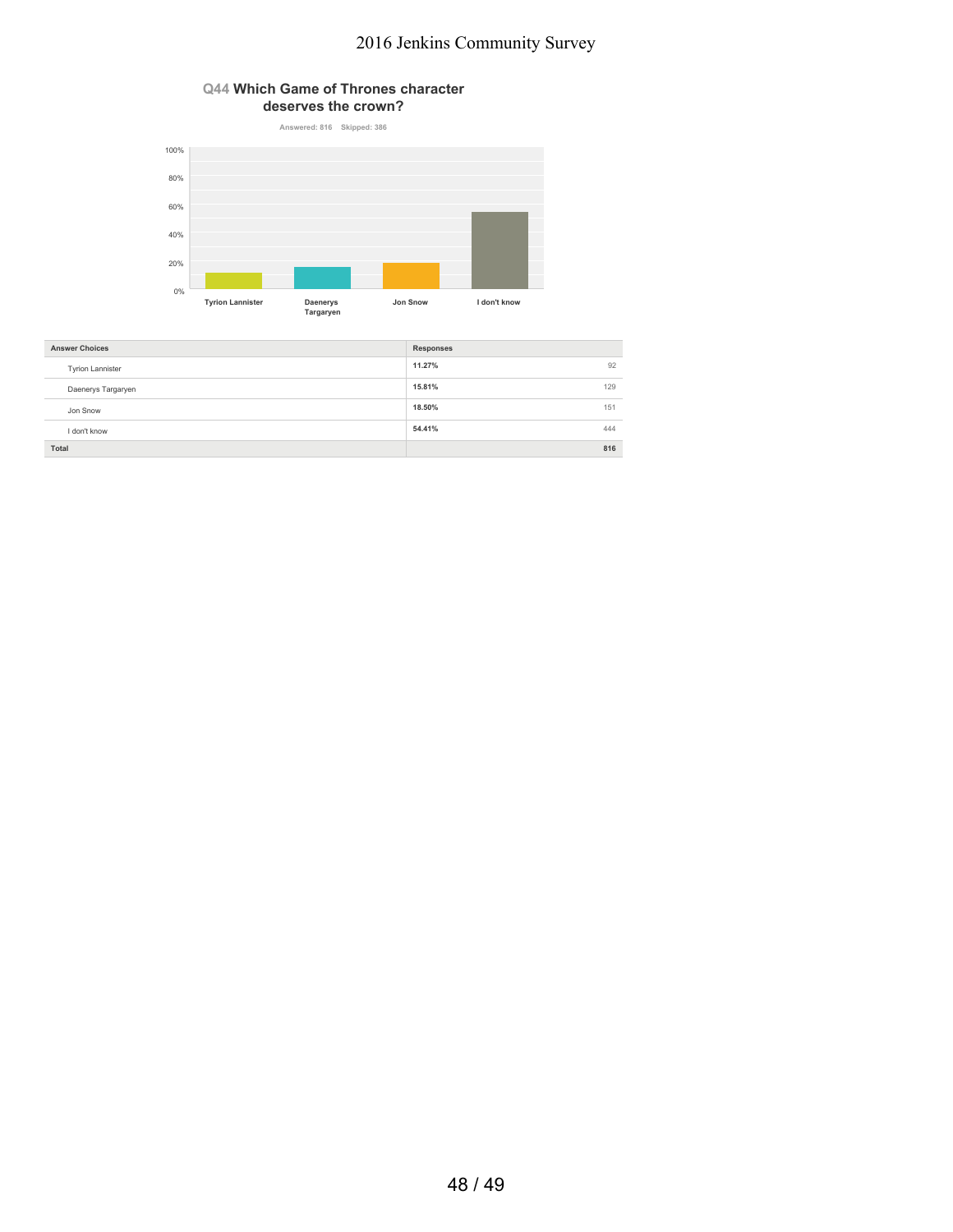#### **Q44 Which Game of Thrones character deserves the crown?**



| <b>Answer Choices</b>   | <b>Responses</b> |     |
|-------------------------|------------------|-----|
| <b>Tyrion Lannister</b> | 11.27%           | 92  |
| Daenerys Targaryen      | 15.81%           | 129 |
| Jon Snow                | 18.50%           | 151 |
| I don't know            | 54.41%           | 444 |
| Total                   |                  | 816 |